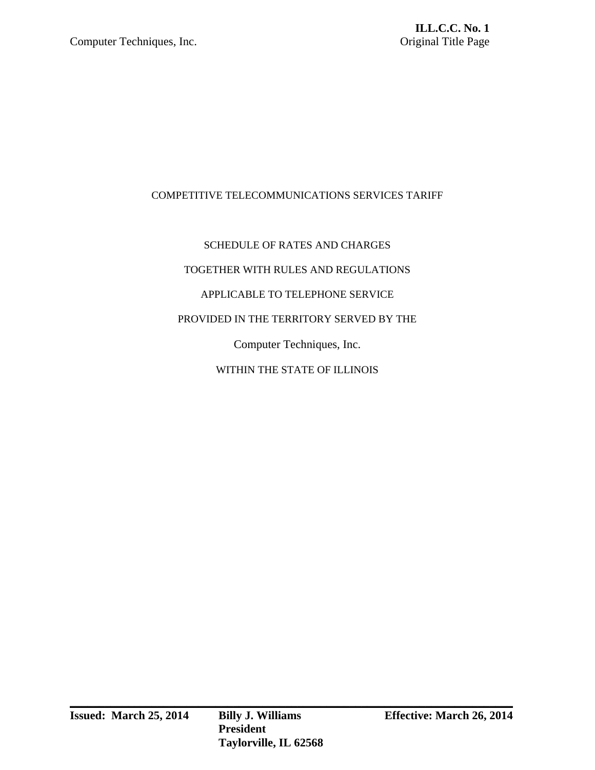# COMPETITIVE TELECOMMUNICATIONS SERVICES TARIFF

# SCHEDULE OF RATES AND CHARGES TOGETHER WITH RULES AND REGULATIONS APPLICABLE TO TELEPHONE SERVICE PROVIDED IN THE TERRITORY SERVED BY THE Computer Techniques, Inc. WITHIN THE STATE OF ILLINOIS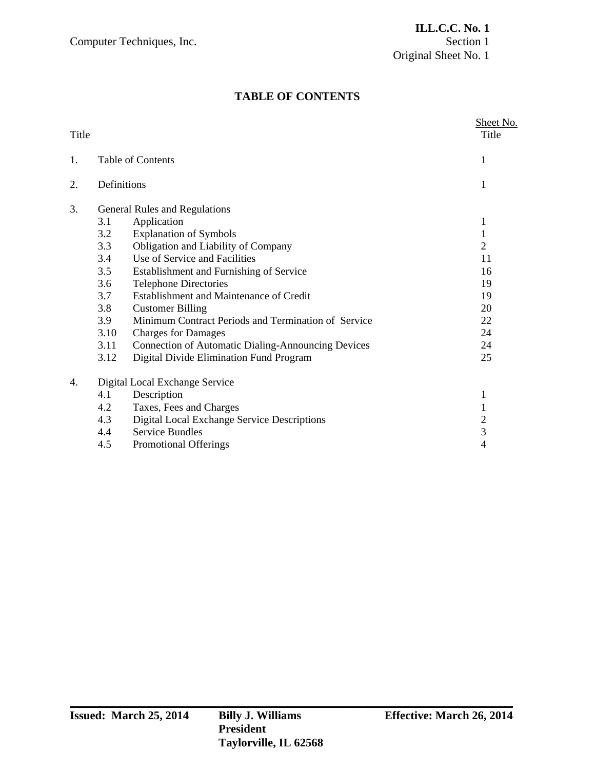# **TABLE OF CONTENTS**

| Title |                                                                                                                                                                                                                                                                                                                                                                                                       | Sheet No.<br>Title                           |
|-------|-------------------------------------------------------------------------------------------------------------------------------------------------------------------------------------------------------------------------------------------------------------------------------------------------------------------------------------------------------------------------------------------------------|----------------------------------------------|
| 1.    | <b>Table of Contents</b>                                                                                                                                                                                                                                                                                                                                                                              | 1                                            |
| 2.    | Definitions                                                                                                                                                                                                                                                                                                                                                                                           | 1                                            |
| 3.    | General Rules and Regulations<br>Application<br>3.1<br>3.2<br><b>Explanation of Symbols</b><br>Obligation and Liability of Company<br>3.3<br>Use of Service and Facilities<br>3.4                                                                                                                                                                                                                     | 1<br>1<br>$\overline{2}$<br>11               |
|       | 3.5<br>Establishment and Furnishing of Service<br>3.6<br><b>Telephone Directories</b><br>Establishment and Maintenance of Credit<br>3.7<br>3.8<br><b>Customer Billing</b><br>Minimum Contract Periods and Termination of Service<br>3.9<br>3.10<br><b>Charges for Damages</b><br>3.11<br><b>Connection of Automatic Dialing-Announcing Devices</b><br>Digital Divide Elimination Fund Program<br>3.12 | 16<br>19<br>19<br>20<br>22<br>24<br>24<br>25 |
| 4.    | Digital Local Exchange Service<br>Description<br>4.1<br>4.2<br>Taxes, Fees and Charges<br>Digital Local Exchange Service Descriptions<br>4.3<br><b>Service Bundles</b><br>4.4<br>4.5<br><b>Promotional Offerings</b>                                                                                                                                                                                  | 1<br>1<br>$\overline{2}$<br>3<br>4           |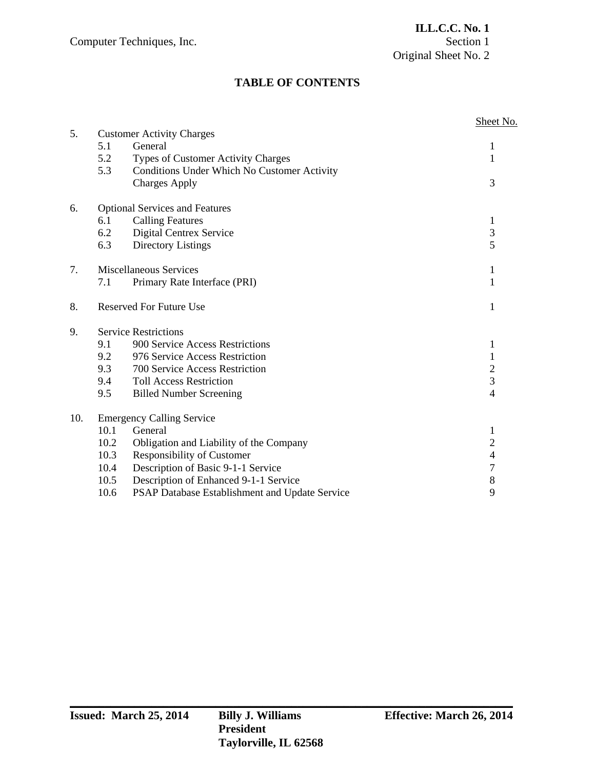# **TABLE OF CONTENTS**

|     |                                       |                                                    | Sheet No.               |
|-----|---------------------------------------|----------------------------------------------------|-------------------------|
| 5.  |                                       | <b>Customer Activity Charges</b>                   |                         |
|     | 5.1                                   | General                                            | 1                       |
|     | 5.2                                   | <b>Types of Customer Activity Charges</b>          | 1                       |
|     | 5.3                                   | <b>Conditions Under Which No Customer Activity</b> |                         |
|     |                                       | <b>Charges Apply</b>                               | 3                       |
| 6.  | <b>Optional Services and Features</b> |                                                    |                         |
|     | 6.1                                   | <b>Calling Features</b>                            | $\mathbf{1}$            |
|     | 6.2                                   | Digital Centrex Service                            | $\overline{\mathbf{3}}$ |
|     | 6.3                                   | <b>Directory Listings</b>                          | 5                       |
| 7.  |                                       | <b>Miscellaneous Services</b>                      | 1                       |
|     | 7.1                                   | Primary Rate Interface (PRI)                       | $\mathbf{1}$            |
| 8.  |                                       | <b>Reserved For Future Use</b>                     | 1                       |
| 9.  |                                       | <b>Service Restrictions</b>                        |                         |
|     | 9.1                                   | 900 Service Access Restrictions                    | $\mathbf{1}$            |
|     | 9.2                                   | 976 Service Access Restriction                     | $\mathbf{1}$            |
|     | 9.3                                   | 700 Service Access Restriction                     | $\overline{c}$          |
|     | 9.4                                   | <b>Toll Access Restriction</b>                     | $\overline{3}$          |
|     | 9.5                                   | <b>Billed Number Screening</b>                     | $\overline{4}$          |
| 10. | <b>Emergency Calling Service</b>      |                                                    |                         |
|     | 10.1                                  | General                                            | 1                       |
|     | 10.2                                  | Obligation and Liability of the Company            | $\overline{c}$          |
|     | 10.3                                  | Responsibility of Customer                         | $\overline{4}$          |
|     | 10.4                                  | Description of Basic 9-1-1 Service                 | $\overline{7}$          |
|     | 10.5                                  | Description of Enhanced 9-1-1 Service              | 8                       |
|     | 10.6                                  | PSAP Database Establishment and Update Service     | 9                       |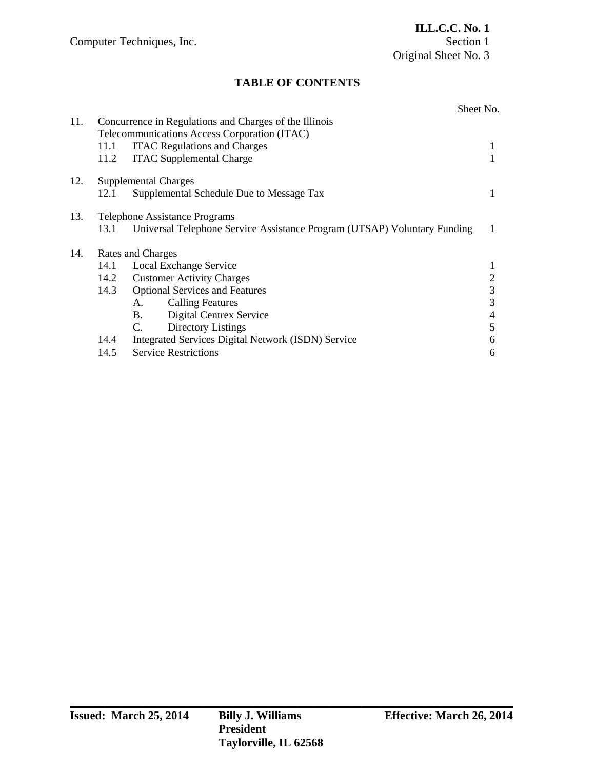# **TABLE OF CONTENTS**

| 11.1                                 | <b>ITAC Regulations and Charges</b>                | 1                                                                                                                                                                                                                                                                                                                                           |  |
|--------------------------------------|----------------------------------------------------|---------------------------------------------------------------------------------------------------------------------------------------------------------------------------------------------------------------------------------------------------------------------------------------------------------------------------------------------|--|
| 11.2                                 | <b>ITAC Supplemental Charge</b>                    |                                                                                                                                                                                                                                                                                                                                             |  |
|                                      |                                                    |                                                                                                                                                                                                                                                                                                                                             |  |
| 12.1                                 | Supplemental Schedule Due to Message Tax           | 1                                                                                                                                                                                                                                                                                                                                           |  |
| <b>Telephone Assistance Programs</b> |                                                    |                                                                                                                                                                                                                                                                                                                                             |  |
| 13.1                                 |                                                    | 1                                                                                                                                                                                                                                                                                                                                           |  |
| Rates and Charges                    |                                                    |                                                                                                                                                                                                                                                                                                                                             |  |
| 14.1                                 |                                                    |                                                                                                                                                                                                                                                                                                                                             |  |
|                                      |                                                    | 2                                                                                                                                                                                                                                                                                                                                           |  |
|                                      |                                                    | 3                                                                                                                                                                                                                                                                                                                                           |  |
|                                      | <b>Calling Features</b><br>A.                      | 3                                                                                                                                                                                                                                                                                                                                           |  |
|                                      | Digital Centrex Service<br><b>B</b> .              | 4                                                                                                                                                                                                                                                                                                                                           |  |
|                                      | Directory Listings<br>C.                           | 5                                                                                                                                                                                                                                                                                                                                           |  |
|                                      | Integrated Services Digital Network (ISDN) Service | 6                                                                                                                                                                                                                                                                                                                                           |  |
|                                      | <b>Service Restrictions</b>                        | 6                                                                                                                                                                                                                                                                                                                                           |  |
|                                      |                                                    | Concurrence in Regulations and Charges of the Illinois<br>Telecommunications Access Corporation (ITAC)<br><b>Supplemental Charges</b><br>Universal Telephone Service Assistance Program (UTSAP) Voluntary Funding<br><b>Local Exchange Service</b><br>14.2 Customer Activity Charges<br>14.3 Optional Services and Features<br>14.4<br>14.5 |  |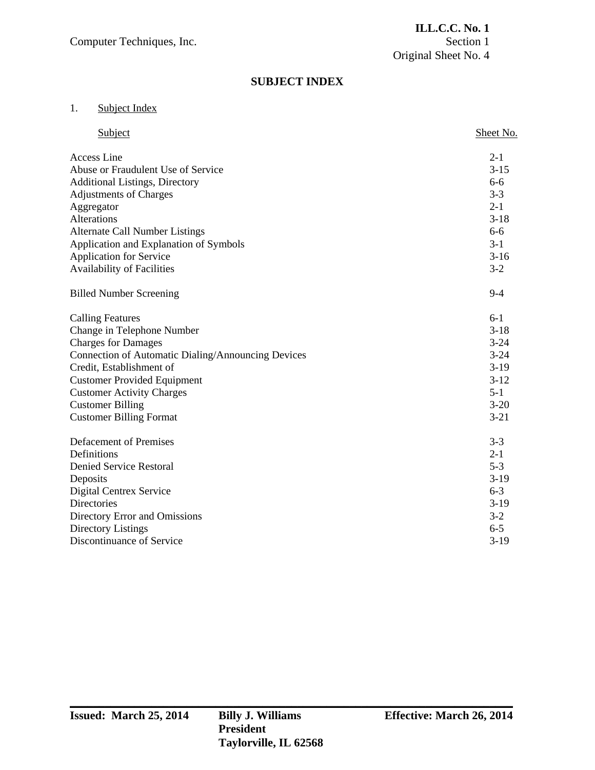### **SUBJECT INDEX**

### 1. Subject Index

| Subject                                            | Sheet No. |
|----------------------------------------------------|-----------|
| Access Line                                        | $2 - 1$   |
| Abuse or Fraudulent Use of Service                 | $3 - 15$  |
| <b>Additional Listings, Directory</b>              | $6 - 6$   |
| <b>Adjustments of Charges</b>                      | $3 - 3$   |
| Aggregator                                         | $2 - 1$   |
| Alterations                                        | $3-18$    |
| <b>Alternate Call Number Listings</b>              | $6 - 6$   |
| Application and Explanation of Symbols             | $3-1$     |
| <b>Application for Service</b>                     | $3-16$    |
| Availability of Facilities                         | $3 - 2$   |
| <b>Billed Number Screening</b>                     | $9 - 4$   |
| <b>Calling Features</b>                            | $6-1$     |
| Change in Telephone Number                         | $3 - 18$  |
| <b>Charges for Damages</b>                         | $3 - 24$  |
| Connection of Automatic Dialing/Announcing Devices | $3 - 24$  |
| Credit, Establishment of                           | $3-19$    |
| <b>Customer Provided Equipment</b>                 | $3-12$    |
| <b>Customer Activity Charges</b>                   | $5 - 1$   |
| <b>Customer Billing</b>                            | $3 - 20$  |
| <b>Customer Billing Format</b>                     | $3 - 21$  |
| <b>Defacement of Premises</b>                      | $3 - 3$   |
| Definitions                                        | $2 - 1$   |
| <b>Denied Service Restoral</b>                     | $5 - 3$   |
| Deposits                                           | $3-19$    |
| <b>Digital Centrex Service</b>                     | $6 - 3$   |
| Directories                                        | $3-19$    |
| Directory Error and Omissions                      | $3-2$     |
| <b>Directory Listings</b>                          | $6 - 5$   |
| Discontinuance of Service                          | $3-19$    |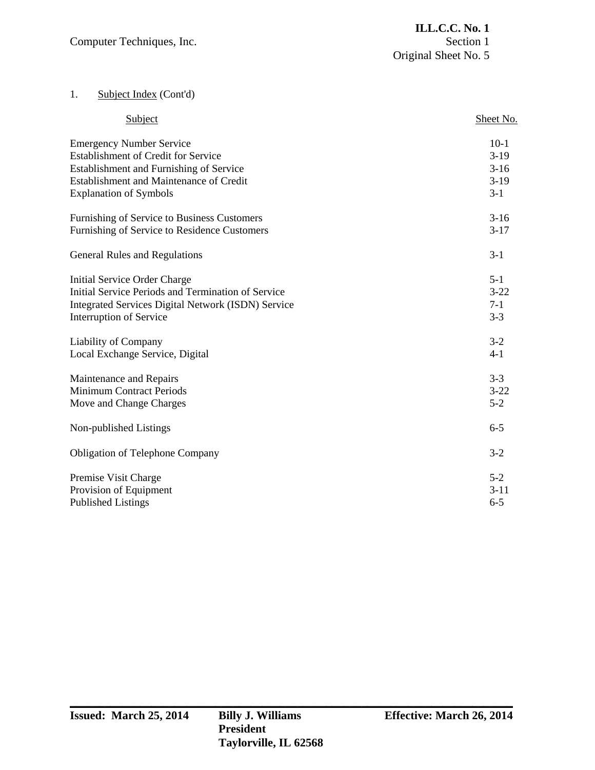# 1. Subject Index (Cont'd)

| Subject                                                   | Sheet No. |
|-----------------------------------------------------------|-----------|
| <b>Emergency Number Service</b>                           | $10-1$    |
| <b>Establishment of Credit for Service</b>                | $3-19$    |
| Establishment and Furnishing of Service                   | $3-16$    |
| Establishment and Maintenance of Credit                   | $3-19$    |
| <b>Explanation of Symbols</b>                             | $3-1$     |
| Furnishing of Service to Business Customers               | $3-16$    |
| Furnishing of Service to Residence Customers              | $3-17$    |
| General Rules and Regulations                             | $3 - 1$   |
| Initial Service Order Charge                              | $5 - 1$   |
| Initial Service Periods and Termination of Service        | $3 - 22$  |
| <b>Integrated Services Digital Network (ISDN) Service</b> | $7 - 1$   |
| <b>Interruption of Service</b>                            | $3 - 3$   |
| Liability of Company                                      | $3-2$     |
| Local Exchange Service, Digital                           | $4 - 1$   |
| Maintenance and Repairs                                   | $3 - 3$   |
| <b>Minimum Contract Periods</b>                           | $3 - 22$  |
| Move and Change Charges                                   | $5 - 2$   |
| Non-published Listings                                    | $6 - 5$   |
| <b>Obligation of Telephone Company</b>                    | $3 - 2$   |
| Premise Visit Charge                                      | $5 - 2$   |
| Provision of Equipment                                    | $3 - 11$  |
| <b>Published Listings</b>                                 | $6 - 5$   |
|                                                           |           |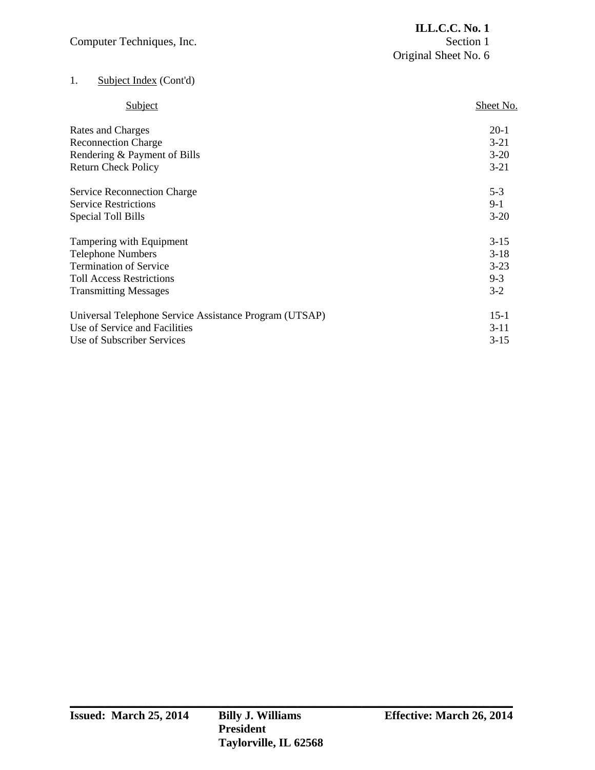| Computer Techniques, Inc.          | <b>ILL.C.C. No. 1</b><br>Section 1<br>Original Sheet No. 6 |  |
|------------------------------------|------------------------------------------------------------|--|
| 1.<br>Subject Index (Cont'd)       |                                                            |  |
| Subject                            | Sheet No.                                                  |  |
| Rates and Charges                  | $20-1$                                                     |  |
| <b>Reconnection Charge</b>         | $3 - 21$                                                   |  |
| Rendering & Payment of Bills       | $3 - 20$                                                   |  |
| <b>Return Check Policy</b>         | $3 - 21$                                                   |  |
| <b>Service Reconnection Charge</b> | $5 - 3$                                                    |  |
| <b>Service Restrictions</b>        | $9-1$                                                      |  |
| Special Toll Bills                 | $3-20$                                                     |  |
| Tampering with Equipment           | $3 - 15$                                                   |  |
| <b>Telephone Numbers</b>           | $3-18$                                                     |  |
| <b>Termination of Service</b>      | $3-23$                                                     |  |

| <b>Transmitting Messages</b>                           | $3-2$    |  |
|--------------------------------------------------------|----------|--|
| Universal Telephone Service Assistance Program (UTSAP) | $15-1$   |  |
| Use of Service and Facilities                          | $3 - 11$ |  |
| Use of Subscriber Services                             | $3 - 15$ |  |

Toll Access Restrictions 9-3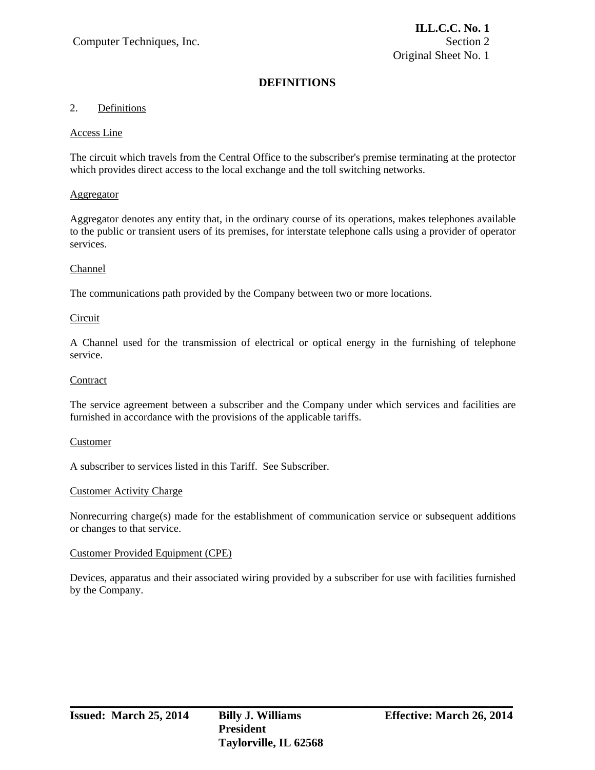### 2. Definitions

#### Access Line

The circuit which travels from the Central Office to the subscriber's premise terminating at the protector which provides direct access to the local exchange and the toll switching networks.

### Aggregator

Aggregator denotes any entity that, in the ordinary course of its operations, makes telephones available to the public or transient users of its premises, for interstate telephone calls using a provider of operator services.

### Channel

The communications path provided by the Company between two or more locations.

### Circuit

A Channel used for the transmission of electrical or optical energy in the furnishing of telephone service.

### **Contract**

The service agreement between a subscriber and the Company under which services and facilities are furnished in accordance with the provisions of the applicable tariffs.

#### Customer

A subscriber to services listed in this Tariff. See Subscriber.

#### Customer Activity Charge

Nonrecurring charge(s) made for the establishment of communication service or subsequent additions or changes to that service.

#### Customer Provided Equipment (CPE)

Devices, apparatus and their associated wiring provided by a subscriber for use with facilities furnished by the Company.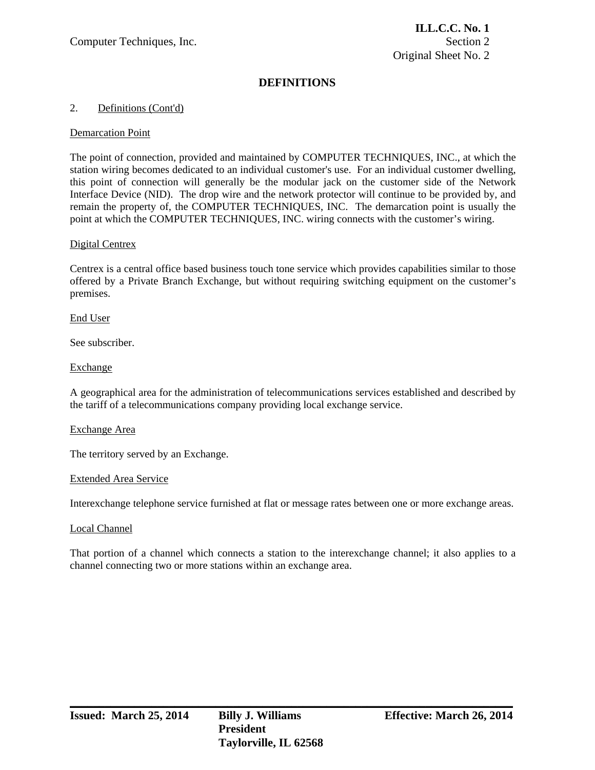### 2. Definitions (Cont'd)

### Demarcation Point

The point of connection, provided and maintained by COMPUTER TECHNIQUES, INC., at which the station wiring becomes dedicated to an individual customer's use. For an individual customer dwelling, this point of connection will generally be the modular jack on the customer side of the Network Interface Device (NID). The drop wire and the network protector will continue to be provided by, and remain the property of, the COMPUTER TECHNIQUES, INC. The demarcation point is usually the point at which the COMPUTER TECHNIQUES, INC. wiring connects with the customer's wiring.

### Digital Centrex

Centrex is a central office based business touch tone service which provides capabilities similar to those offered by a Private Branch Exchange, but without requiring switching equipment on the customer's premises.

### End User

See subscriber.

### Exchange

A geographical area for the administration of telecommunications services established and described by the tariff of a telecommunications company providing local exchange service.

#### Exchange Area

The territory served by an Exchange.

#### Extended Area Service

Interexchange telephone service furnished at flat or message rates between one or more exchange areas.

#### Local Channel

That portion of a channel which connects a station to the interexchange channel; it also applies to a channel connecting two or more stations within an exchange area.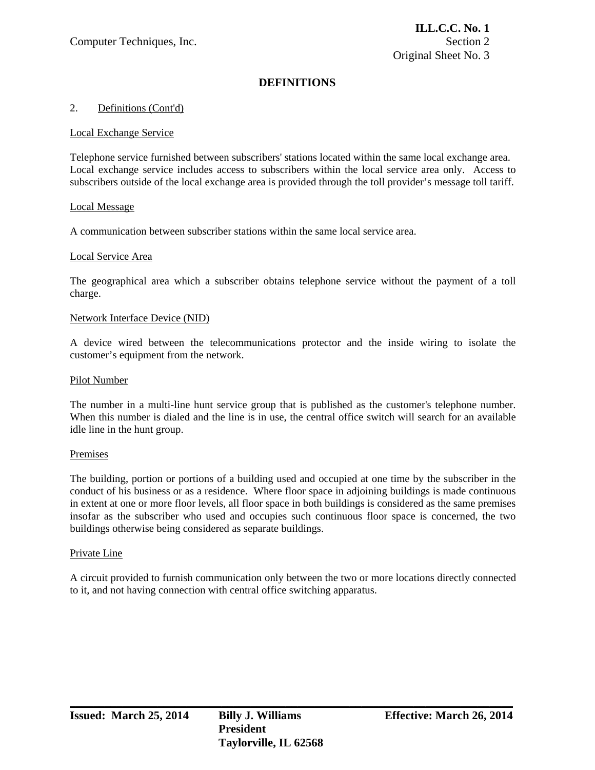#### 2. Definitions (Cont'd)

#### Local Exchange Service

Telephone service furnished between subscribers' stations located within the same local exchange area. Local exchange service includes access to subscribers within the local service area only. Access to subscribers outside of the local exchange area is provided through the toll provider's message toll tariff.

### Local Message

A communication between subscriber stations within the same local service area.

### Local Service Area

The geographical area which a subscriber obtains telephone service without the payment of a toll charge.

#### Network Interface Device (NID)

A device wired between the telecommunications protector and the inside wiring to isolate the customer's equipment from the network.

#### Pilot Number

The number in a multi-line hunt service group that is published as the customer's telephone number. When this number is dialed and the line is in use, the central office switch will search for an available idle line in the hunt group.

#### Premises

The building, portion or portions of a building used and occupied at one time by the subscriber in the conduct of his business or as a residence. Where floor space in adjoining buildings is made continuous in extent at one or more floor levels, all floor space in both buildings is considered as the same premises insofar as the subscriber who used and occupies such continuous floor space is concerned, the two buildings otherwise being considered as separate buildings.

#### Private Line

A circuit provided to furnish communication only between the two or more locations directly connected to it, and not having connection with central office switching apparatus.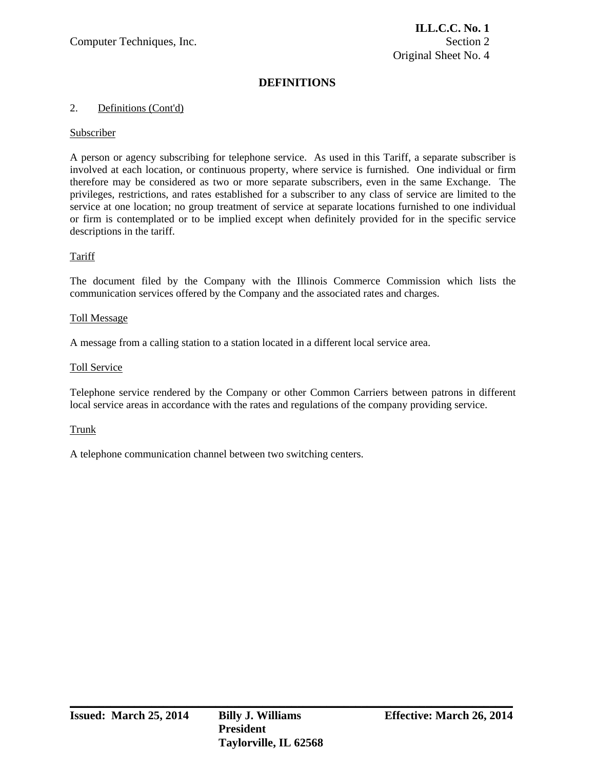### 2. Definitions (Cont'd)

### Subscriber

A person or agency subscribing for telephone service. As used in this Tariff, a separate subscriber is involved at each location, or continuous property, where service is furnished. One individual or firm therefore may be considered as two or more separate subscribers, even in the same Exchange. The privileges, restrictions, and rates established for a subscriber to any class of service are limited to the service at one location; no group treatment of service at separate locations furnished to one individual or firm is contemplated or to be implied except when definitely provided for in the specific service descriptions in the tariff.

### Tariff

The document filed by the Company with the Illinois Commerce Commission which lists the communication services offered by the Company and the associated rates and charges.

#### Toll Message

A message from a calling station to a station located in a different local service area.

### Toll Service

Telephone service rendered by the Company or other Common Carriers between patrons in different local service areas in accordance with the rates and regulations of the company providing service.

**\_\_\_\_\_\_\_\_\_\_\_\_\_\_\_\_\_\_\_\_\_\_\_\_\_\_\_\_\_\_\_\_\_\_\_\_\_\_\_\_\_\_\_\_\_\_\_\_\_\_\_\_\_\_\_\_\_\_\_\_\_\_\_\_\_\_\_\_\_\_\_\_\_\_\_\_** 

#### Trunk

A telephone communication channel between two switching centers.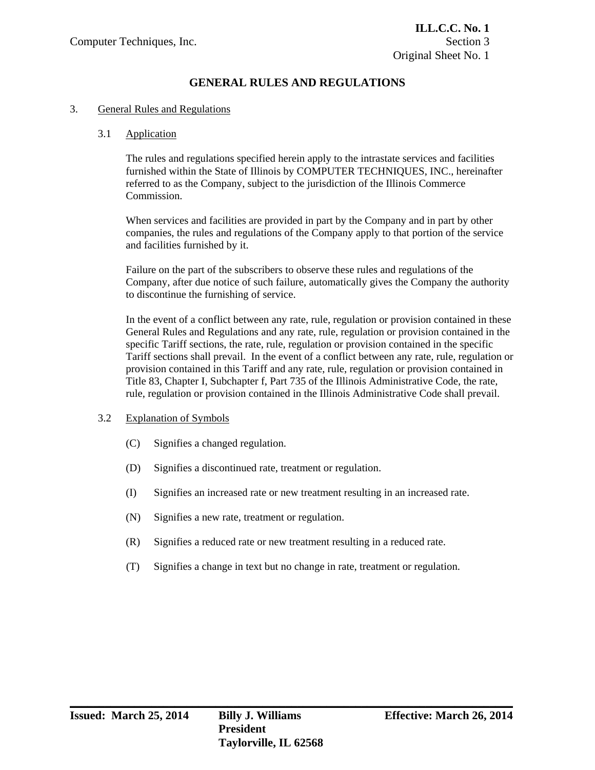### 3. General Rules and Regulations

#### 3.1 Application

 The rules and regulations specified herein apply to the intrastate services and facilities furnished within the State of Illinois by COMPUTER TECHNIQUES, INC., hereinafter referred to as the Company, subject to the jurisdiction of the Illinois Commerce **Commission** 

 When services and facilities are provided in part by the Company and in part by other companies, the rules and regulations of the Company apply to that portion of the service and facilities furnished by it.

 Failure on the part of the subscribers to observe these rules and regulations of the Company, after due notice of such failure, automatically gives the Company the authority to discontinue the furnishing of service.

 In the event of a conflict between any rate, rule, regulation or provision contained in these General Rules and Regulations and any rate, rule, regulation or provision contained in the specific Tariff sections, the rate, rule, regulation or provision contained in the specific Tariff sections shall prevail. In the event of a conflict between any rate, rule, regulation or provision contained in this Tariff and any rate, rule, regulation or provision contained in Title 83, Chapter I, Subchapter f, Part 735 of the Illinois Administrative Code, the rate, rule, regulation or provision contained in the Illinois Administrative Code shall prevail.

#### 3.2 Explanation of Symbols

- (C) Signifies a changed regulation.
- (D) Signifies a discontinued rate, treatment or regulation.
- (I) Signifies an increased rate or new treatment resulting in an increased rate.
- (N) Signifies a new rate, treatment or regulation.
- (R) Signifies a reduced rate or new treatment resulting in a reduced rate.
- (T) Signifies a change in text but no change in rate, treatment or regulation.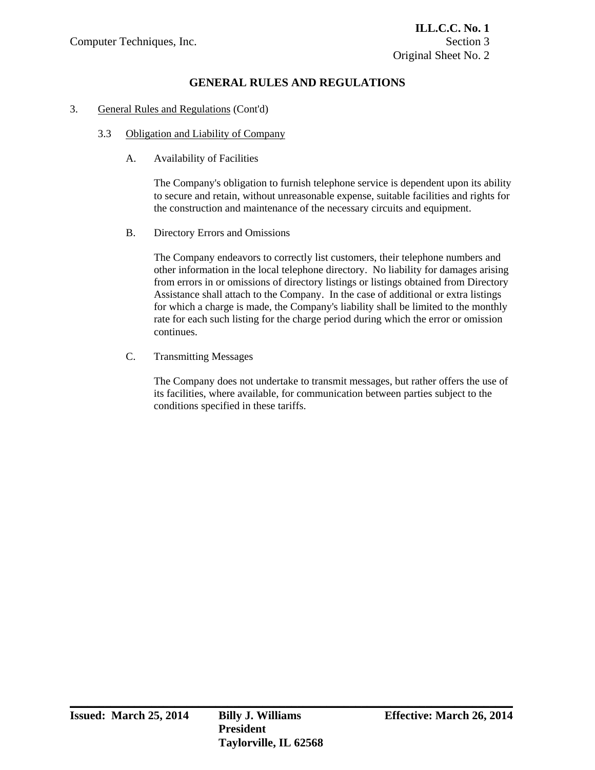### 3. General Rules and Regulations (Cont'd)

### 3.3 Obligation and Liability of Company

A. Availability of Facilities

 The Company's obligation to furnish telephone service is dependent upon its ability to secure and retain, without unreasonable expense, suitable facilities and rights for the construction and maintenance of the necessary circuits and equipment.

B. Directory Errors and Omissions

 The Company endeavors to correctly list customers, their telephone numbers and other information in the local telephone directory. No liability for damages arising from errors in or omissions of directory listings or listings obtained from Directory Assistance shall attach to the Company. In the case of additional or extra listings for which a charge is made, the Company's liability shall be limited to the monthly rate for each such listing for the charge period during which the error or omission continues.

C. Transmitting Messages

 The Company does not undertake to transmit messages, but rather offers the use of its facilities, where available, for communication between parties subject to the conditions specified in these tariffs.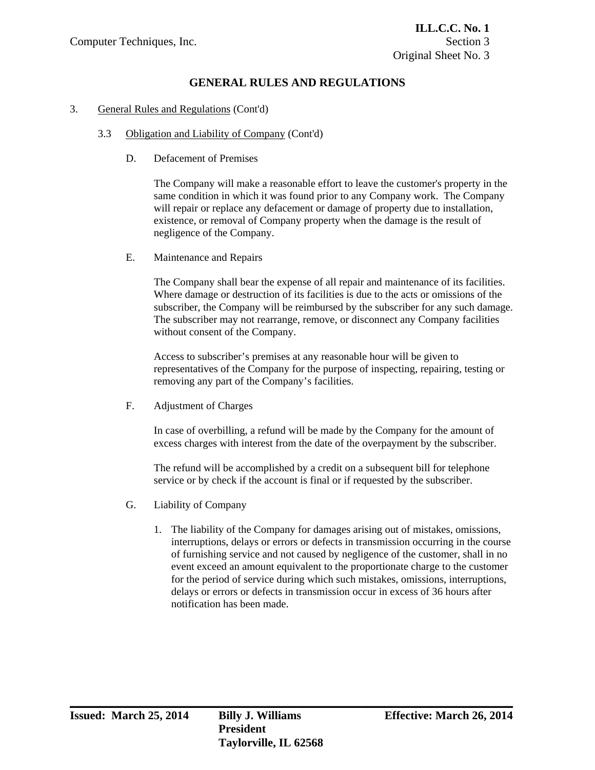### 3. General Rules and Regulations (Cont'd)

- 3.3 Obligation and Liability of Company (Cont'd)
	- D. Defacement of Premises

 The Company will make a reasonable effort to leave the customer's property in the same condition in which it was found prior to any Company work. The Company will repair or replace any defacement or damage of property due to installation, existence, or removal of Company property when the damage is the result of negligence of the Company.

E. Maintenance and Repairs

 The Company shall bear the expense of all repair and maintenance of its facilities. Where damage or destruction of its facilities is due to the acts or omissions of the subscriber, the Company will be reimbursed by the subscriber for any such damage. The subscriber may not rearrange, remove, or disconnect any Company facilities without consent of the Company.

 Access to subscriber's premises at any reasonable hour will be given to representatives of the Company for the purpose of inspecting, repairing, testing or removing any part of the Company's facilities.

F. Adjustment of Charges

 In case of overbilling, a refund will be made by the Company for the amount of excess charges with interest from the date of the overpayment by the subscriber.

 The refund will be accomplished by a credit on a subsequent bill for telephone service or by check if the account is final or if requested by the subscriber.

- G. Liability of Company
	- 1. The liability of the Company for damages arising out of mistakes, omissions, interruptions, delays or errors or defects in transmission occurring in the course of furnishing service and not caused by negligence of the customer, shall in no event exceed an amount equivalent to the proportionate charge to the customer for the period of service during which such mistakes, omissions, interruptions, delays or errors or defects in transmission occur in excess of 36 hours after notification has been made.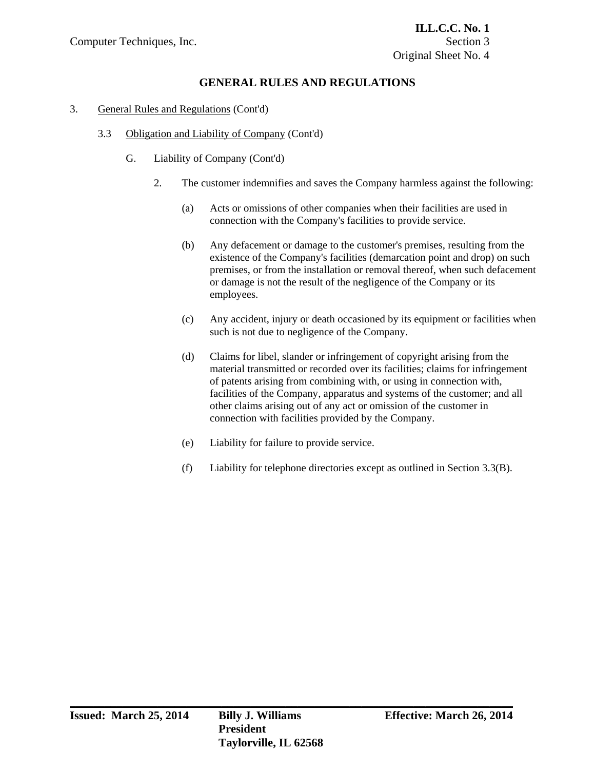### 3. General Rules and Regulations (Cont'd)

- 3.3 Obligation and Liability of Company (Cont'd)
	- G. Liability of Company (Cont'd)
		- 2. The customer indemnifies and saves the Company harmless against the following:
			- (a) Acts or omissions of other companies when their facilities are used in connection with the Company's facilities to provide service.
			- (b) Any defacement or damage to the customer's premises, resulting from the existence of the Company's facilities (demarcation point and drop) on such premises, or from the installation or removal thereof, when such defacement or damage is not the result of the negligence of the Company or its employees.
			- (c) Any accident, injury or death occasioned by its equipment or facilities when such is not due to negligence of the Company.
			- (d) Claims for libel, slander or infringement of copyright arising from the material transmitted or recorded over its facilities; claims for infringement of patents arising from combining with, or using in connection with, facilities of the Company, apparatus and systems of the customer; and all other claims arising out of any act or omission of the customer in connection with facilities provided by the Company.
			- (e) Liability for failure to provide service.

**\_\_\_\_\_\_\_\_\_\_\_\_\_\_\_\_\_\_\_\_\_\_\_\_\_\_\_\_\_\_\_\_\_\_\_\_\_\_\_\_\_\_\_\_\_\_\_\_\_\_\_\_\_\_\_\_\_\_\_\_\_\_\_\_\_\_\_\_\_\_\_\_\_\_\_\_** 

(f) Liability for telephone directories except as outlined in Section 3.3(B).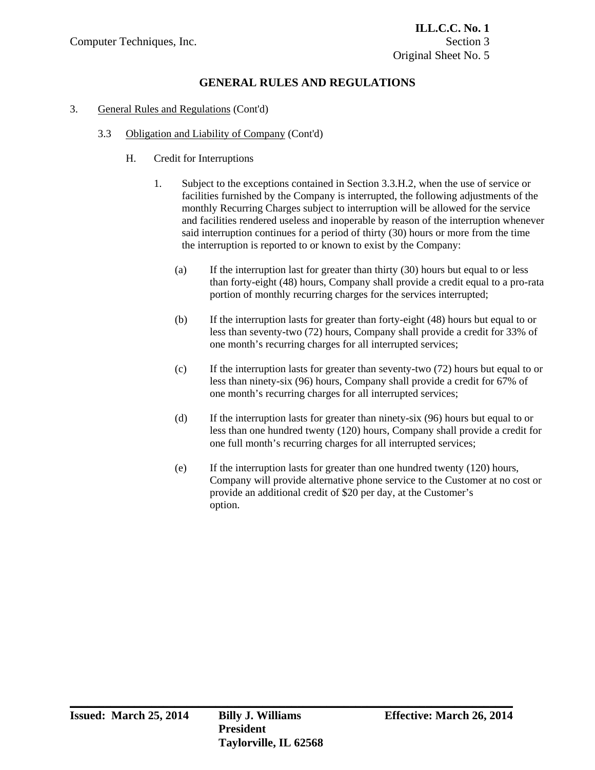### 3. General Rules and Regulations (Cont'd)

- 3.3 Obligation and Liability of Company (Cont'd)
	- H. Credit for Interruptions
		- 1. Subject to the exceptions contained in Section 3.3.H.2, when the use of service or facilities furnished by the Company is interrupted, the following adjustments of the monthly Recurring Charges subject to interruption will be allowed for the service and facilities rendered useless and inoperable by reason of the interruption whenever said interruption continues for a period of thirty (30) hours or more from the time the interruption is reported to or known to exist by the Company:
			- (a) If the interruption last for greater than thirty (30) hours but equal to or less than forty-eight (48) hours, Company shall provide a credit equal to a pro-rata portion of monthly recurring charges for the services interrupted;
			- (b) If the interruption lasts for greater than forty-eight (48) hours but equal to or less than seventy-two (72) hours, Company shall provide a credit for 33% of one month's recurring charges for all interrupted services;
			- (c) If the interruption lasts for greater than seventy-two (72) hours but equal to or less than ninety-six (96) hours, Company shall provide a credit for 67% of one month's recurring charges for all interrupted services;
			- (d) If the interruption lasts for greater than ninety-six (96) hours but equal to or less than one hundred twenty (120) hours, Company shall provide a credit for one full month's recurring charges for all interrupted services;
			- (e) If the interruption lasts for greater than one hundred twenty (120) hours, Company will provide alternative phone service to the Customer at no cost or provide an additional credit of \$20 per day, at the Customer's option.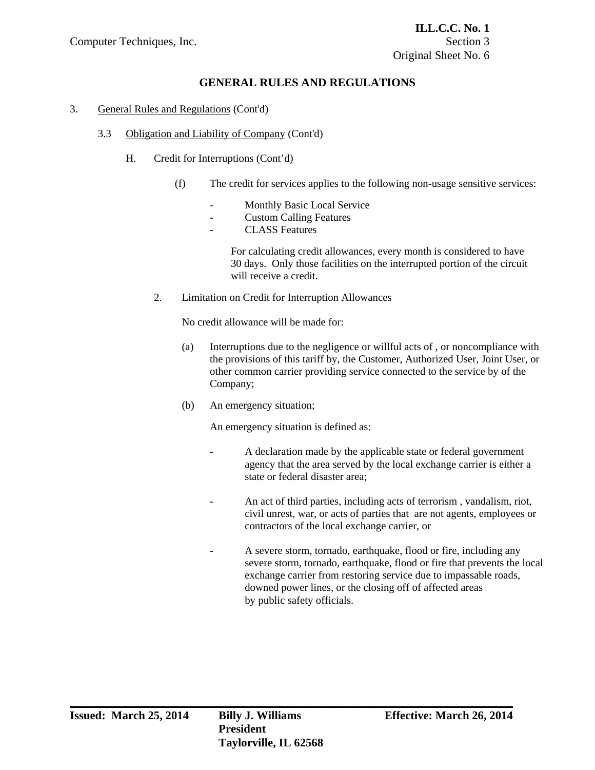### 3. General Rules and Regulations (Cont'd)

### 3.3 Obligation and Liability of Company (Cont'd)

- H. Credit for Interruptions (Cont'd)
	- (f) The credit for services applies to the following non-usage sensitive services:
		- Monthly Basic Local Service
		- Custom Calling Features
		- CLASS Features

 For calculating credit allowances, every month is considered to have 30 days. Only those facilities on the interrupted portion of the circuit will receive a credit.

2. Limitation on Credit for Interruption Allowances

No credit allowance will be made for:

- (a) Interruptions due to the negligence or willful acts of , or noncompliance with the provisions of this tariff by, the Customer, Authorized User, Joint User, or other common carrier providing service connected to the service by of the Company;
- (b) An emergency situation;

An emergency situation is defined as:

- A declaration made by the applicable state or federal government agency that the area served by the local exchange carrier is either a state or federal disaster area;
- An act of third parties, including acts of terrorism , vandalism, riot, civil unrest, war, or acts of parties that are not agents, employees or contractors of the local exchange carrier, or
- A severe storm, tornado, earthquake, flood or fire, including any severe storm, tornado, earthquake, flood or fire that prevents the local exchange carrier from restoring service due to impassable roads, downed power lines, or the closing off of affected areas by public safety officials.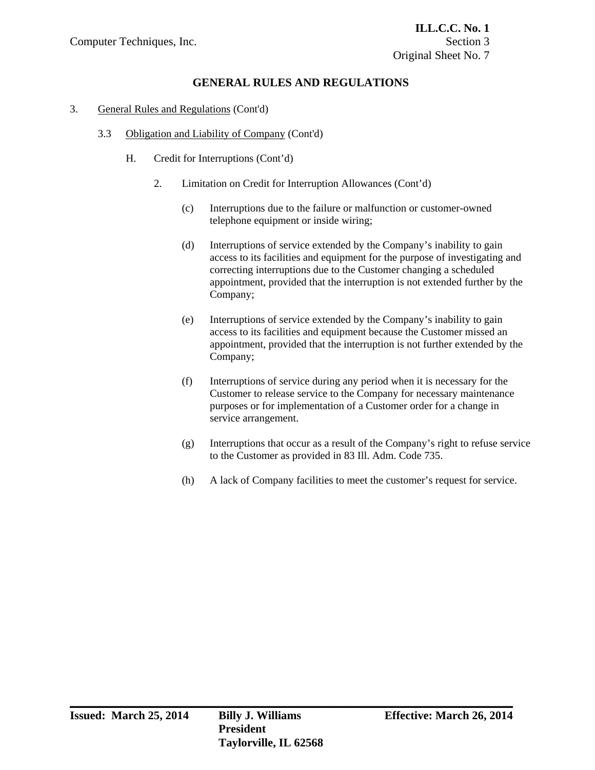- 3. General Rules and Regulations (Cont'd)
	- 3.3 Obligation and Liability of Company (Cont'd)
		- H. Credit for Interruptions (Cont'd)
			- 2. Limitation on Credit for Interruption Allowances (Cont'd)
				- (c) Interruptions due to the failure or malfunction or customer-owned telephone equipment or inside wiring;
				- (d) Interruptions of service extended by the Company's inability to gain access to its facilities and equipment for the purpose of investigating and correcting interruptions due to the Customer changing a scheduled appointment, provided that the interruption is not extended further by the Company;
				- (e) Interruptions of service extended by the Company's inability to gain access to its facilities and equipment because the Customer missed an appointment, provided that the interruption is not further extended by the Company;
				- (f) Interruptions of service during any period when it is necessary for the Customer to release service to the Company for necessary maintenance purposes or for implementation of a Customer order for a change in service arrangement.
				- (g) Interruptions that occur as a result of the Company's right to refuse service to the Customer as provided in 83 Ill. Adm. Code 735.
				- (h) A lack of Company facilities to meet the customer's request for service.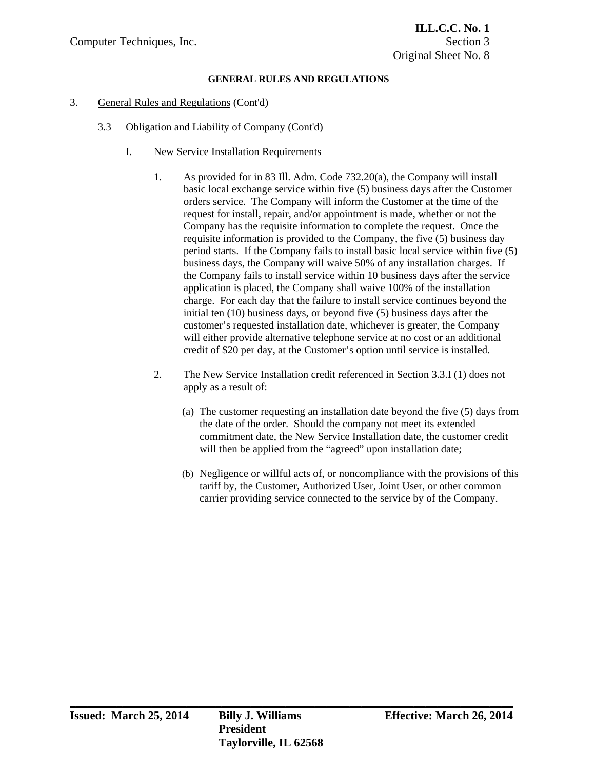- 3. General Rules and Regulations (Cont'd)
	- 3.3 Obligation and Liability of Company (Cont'd)
		- I. New Service Installation Requirements
			- 1. As provided for in 83 Ill. Adm. Code 732.20(a), the Company will install basic local exchange service within five (5) business days after the Customer orders service. The Company will inform the Customer at the time of the request for install, repair, and/or appointment is made, whether or not the Company has the requisite information to complete the request. Once the requisite information is provided to the Company, the five (5) business day period starts. If the Company fails to install basic local service within five (5) business days, the Company will waive 50% of any installation charges. If the Company fails to install service within 10 business days after the service application is placed, the Company shall waive 100% of the installation charge. For each day that the failure to install service continues beyond the initial ten (10) business days, or beyond five (5) business days after the customer's requested installation date, whichever is greater, the Company will either provide alternative telephone service at no cost or an additional credit of \$20 per day, at the Customer's option until service is installed.
			- 2. The New Service Installation credit referenced in Section 3.3.I (1) does not apply as a result of:
				- (a) The customer requesting an installation date beyond the five (5) days from the date of the order. Should the company not meet its extended commitment date, the New Service Installation date, the customer credit will then be applied from the "agreed" upon installation date;
				- (b) Negligence or willful acts of, or noncompliance with the provisions of this tariff by, the Customer, Authorized User, Joint User, or other common carrier providing service connected to the service by of the Company.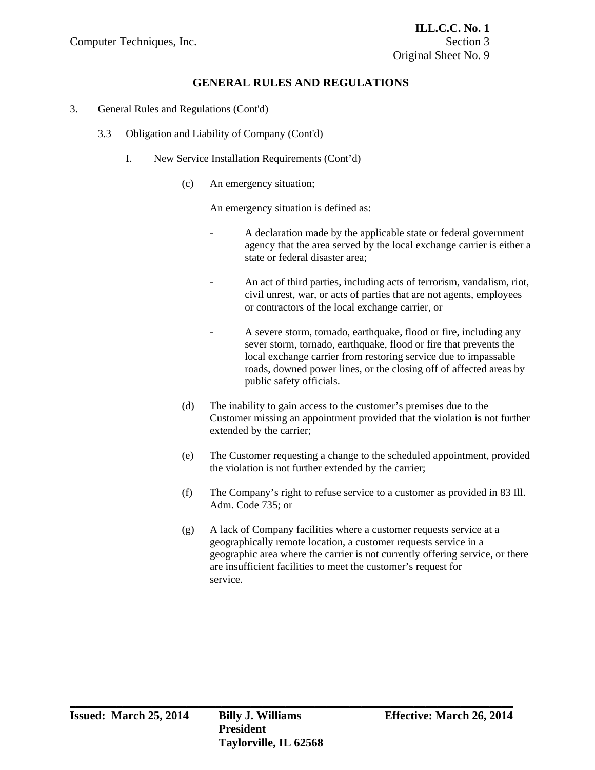- 3. General Rules and Regulations (Cont'd)
	- 3.3 Obligation and Liability of Company (Cont'd)
		- I. New Service Installation Requirements (Cont'd)
			- (c) An emergency situation;

An emergency situation is defined as:

- A declaration made by the applicable state or federal government agency that the area served by the local exchange carrier is either a state or federal disaster area;
- An act of third parties, including acts of terrorism, vandalism, riot, civil unrest, war, or acts of parties that are not agents, employees or contractors of the local exchange carrier, or
- A severe storm, tornado, earthquake, flood or fire, including any sever storm, tornado, earthquake, flood or fire that prevents the local exchange carrier from restoring service due to impassable roads, downed power lines, or the closing off of affected areas by public safety officials.
- (d) The inability to gain access to the customer's premises due to the Customer missing an appointment provided that the violation is not further extended by the carrier;
- (e) The Customer requesting a change to the scheduled appointment, provided the violation is not further extended by the carrier;
- (f) The Company's right to refuse service to a customer as provided in 83 Ill. Adm. Code 735; or
- (g) A lack of Company facilities where a customer requests service at a geographically remote location, a customer requests service in a geographic area where the carrier is not currently offering service, or there are insufficient facilities to meet the customer's request for service.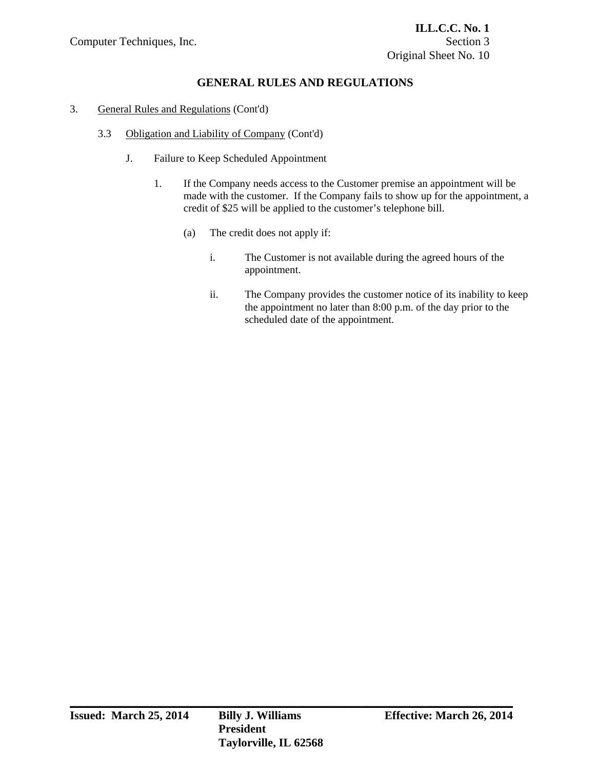- 3. General Rules and Regulations (Cont'd)
	- 3.3 Obligation and Liability of Company (Cont'd)
		- J. Failure to Keep Scheduled Appointment
			- 1. If the Company needs access to the Customer premise an appointment will be made with the customer. If the Company fails to show up for the appointment, a credit of \$25 will be applied to the customer's telephone bill.
				- (a) The credit does not apply if:
					- i. The Customer is not available during the agreed hours of the appointment.
					- ii. The Company provides the customer notice of its inability to keep the appointment no later than 8:00 p.m. of the day prior to the scheduled date of the appointment.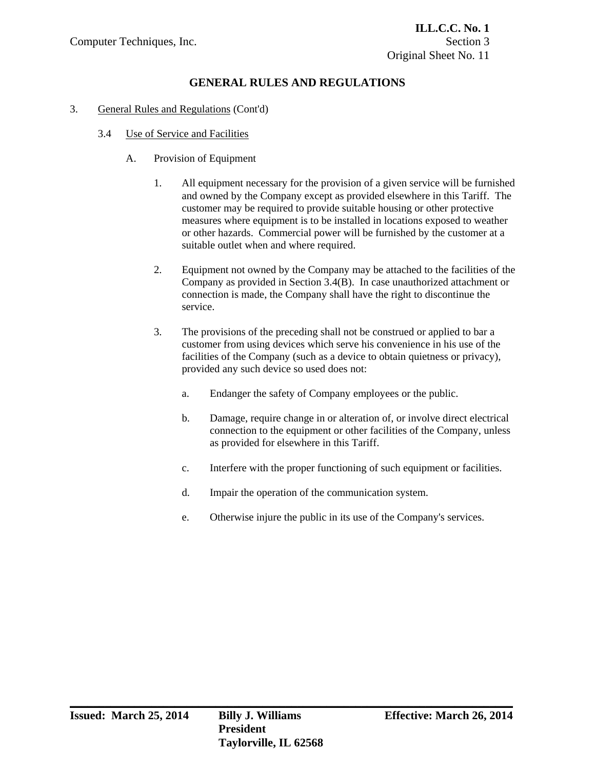- 3.4 Use of Service and Facilities
	- A. Provision of Equipment
		- 1. All equipment necessary for the provision of a given service will be furnished and owned by the Company except as provided elsewhere in this Tariff. The customer may be required to provide suitable housing or other protective measures where equipment is to be installed in locations exposed to weather or other hazards. Commercial power will be furnished by the customer at a suitable outlet when and where required.
		- 2. Equipment not owned by the Company may be attached to the facilities of the Company as provided in Section 3.4(B). In case unauthorized attachment or connection is made, the Company shall have the right to discontinue the service.
		- 3. The provisions of the preceding shall not be construed or applied to bar a customer from using devices which serve his convenience in his use of the facilities of the Company (such as a device to obtain quietness or privacy), provided any such device so used does not:
			- a. Endanger the safety of Company employees or the public.
			- b. Damage, require change in or alteration of, or involve direct electrical connection to the equipment or other facilities of the Company, unless as provided for elsewhere in this Tariff.
			- c. Interfere with the proper functioning of such equipment or facilities.
			- d. Impair the operation of the communication system.
			- e. Otherwise injure the public in its use of the Company's services.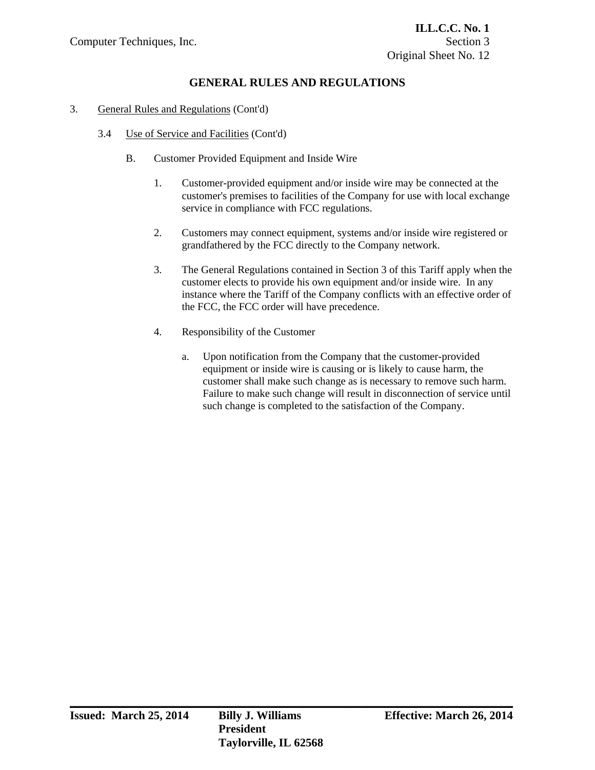- 3.4 Use of Service and Facilities (Cont'd)
	- B. Customer Provided Equipment and Inside Wire
		- 1. Customer-provided equipment and/or inside wire may be connected at the customer's premises to facilities of the Company for use with local exchange service in compliance with FCC regulations.
		- 2. Customers may connect equipment, systems and/or inside wire registered or grandfathered by the FCC directly to the Company network.
		- 3. The General Regulations contained in Section 3 of this Tariff apply when the customer elects to provide his own equipment and/or inside wire. In any instance where the Tariff of the Company conflicts with an effective order of the FCC, the FCC order will have precedence.
		- 4. Responsibility of the Customer
			- a. Upon notification from the Company that the customer-provided equipment or inside wire is causing or is likely to cause harm, the customer shall make such change as is necessary to remove such harm. Failure to make such change will result in disconnection of service until such change is completed to the satisfaction of the Company.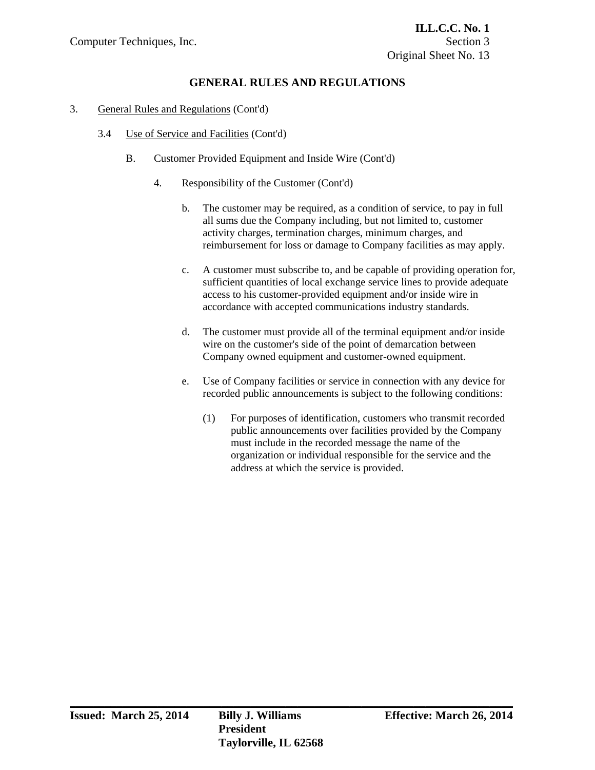- 3.4 Use of Service and Facilities (Cont'd)
	- B. Customer Provided Equipment and Inside Wire (Cont'd)
		- 4. Responsibility of the Customer (Cont'd)
			- b. The customer may be required, as a condition of service, to pay in full all sums due the Company including, but not limited to, customer activity charges, termination charges, minimum charges, and reimbursement for loss or damage to Company facilities as may apply.
			- c. A customer must subscribe to, and be capable of providing operation for, sufficient quantities of local exchange service lines to provide adequate access to his customer-provided equipment and/or inside wire in accordance with accepted communications industry standards.
			- d. The customer must provide all of the terminal equipment and/or inside wire on the customer's side of the point of demarcation between Company owned equipment and customer-owned equipment.
			- e. Use of Company facilities or service in connection with any device for recorded public announcements is subject to the following conditions:
				- (1) For purposes of identification, customers who transmit recorded public announcements over facilities provided by the Company must include in the recorded message the name of the organization or individual responsible for the service and the address at which the service is provided.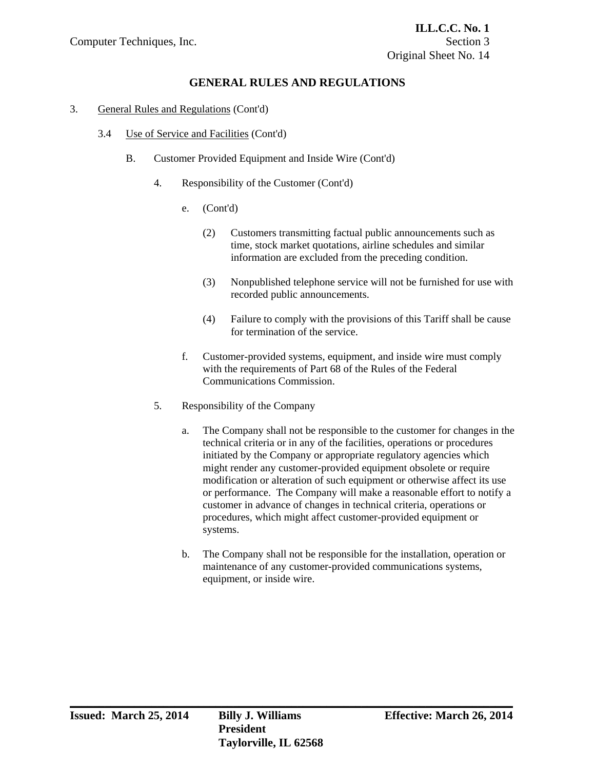- 3.4 Use of Service and Facilities (Cont'd)
	- B. Customer Provided Equipment and Inside Wire (Cont'd)
		- 4. Responsibility of the Customer (Cont'd)
			- e. (Cont'd)
				- (2) Customers transmitting factual public announcements such as time, stock market quotations, airline schedules and similar information are excluded from the preceding condition.
				- (3) Nonpublished telephone service will not be furnished for use with recorded public announcements.
				- (4) Failure to comply with the provisions of this Tariff shall be cause for termination of the service.
			- f. Customer-provided systems, equipment, and inside wire must comply with the requirements of Part 68 of the Rules of the Federal Communications Commission.
		- 5. Responsibility of the Company
			- a. The Company shall not be responsible to the customer for changes in the technical criteria or in any of the facilities, operations or procedures initiated by the Company or appropriate regulatory agencies which might render any customer-provided equipment obsolete or require modification or alteration of such equipment or otherwise affect its use or performance. The Company will make a reasonable effort to notify a customer in advance of changes in technical criteria, operations or procedures, which might affect customer-provided equipment or systems.
			- b. The Company shall not be responsible for the installation, operation or maintenance of any customer-provided communications systems, equipment, or inside wire.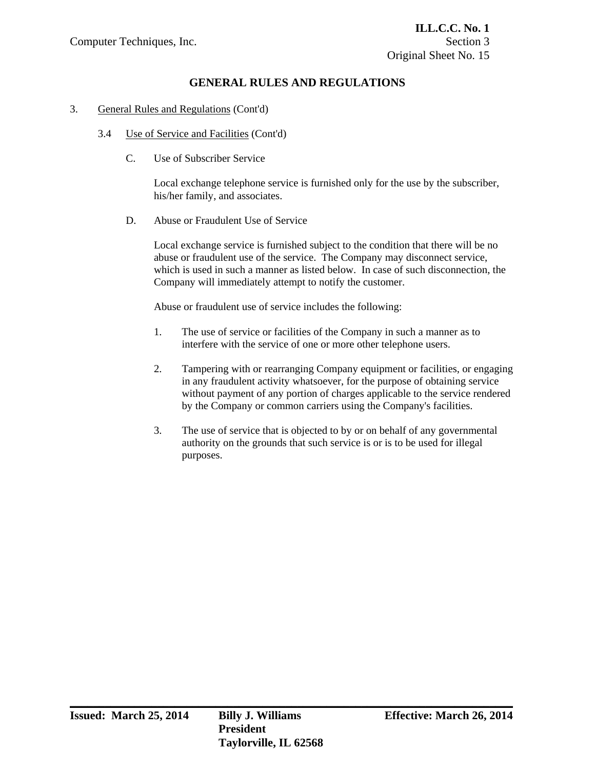### 3. General Rules and Regulations (Cont'd)

- 3.4 Use of Service and Facilities (Cont'd)
	- C. Use of Subscriber Service

 Local exchange telephone service is furnished only for the use by the subscriber, his/her family, and associates.

D. Abuse or Fraudulent Use of Service

 Local exchange service is furnished subject to the condition that there will be no abuse or fraudulent use of the service. The Company may disconnect service, which is used in such a manner as listed below. In case of such disconnection, the Company will immediately attempt to notify the customer.

Abuse or fraudulent use of service includes the following:

- 1. The use of service or facilities of the Company in such a manner as to interfere with the service of one or more other telephone users.
- 2. Tampering with or rearranging Company equipment or facilities, or engaging in any fraudulent activity whatsoever, for the purpose of obtaining service without payment of any portion of charges applicable to the service rendered by the Company or common carriers using the Company's facilities.
- 3. The use of service that is objected to by or on behalf of any governmental authority on the grounds that such service is or is to be used for illegal purposes.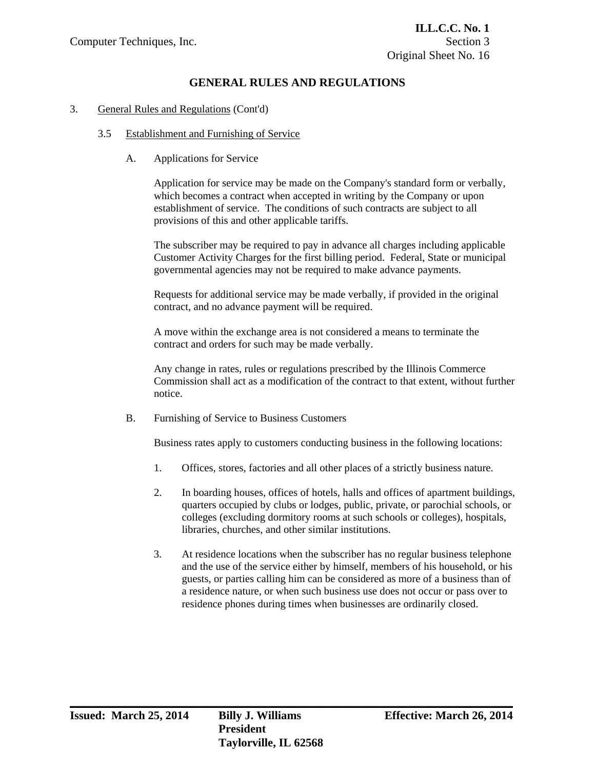### 3. General Rules and Regulations (Cont'd)

### 3.5 Establishment and Furnishing of Service

A. Applications for Service

 Application for service may be made on the Company's standard form or verbally, which becomes a contract when accepted in writing by the Company or upon establishment of service. The conditions of such contracts are subject to all provisions of this and other applicable tariffs.

 The subscriber may be required to pay in advance all charges including applicable Customer Activity Charges for the first billing period. Federal, State or municipal governmental agencies may not be required to make advance payments.

 Requests for additional service may be made verbally, if provided in the original contract, and no advance payment will be required.

 A move within the exchange area is not considered a means to terminate the contract and orders for such may be made verbally.

 Any change in rates, rules or regulations prescribed by the Illinois Commerce Commission shall act as a modification of the contract to that extent, without further notice.

B. Furnishing of Service to Business Customers

Business rates apply to customers conducting business in the following locations:

- 1. Offices, stores, factories and all other places of a strictly business nature.
- 2. In boarding houses, offices of hotels, halls and offices of apartment buildings, quarters occupied by clubs or lodges, public, private, or parochial schools, or colleges (excluding dormitory rooms at such schools or colleges), hospitals, libraries, churches, and other similar institutions.
- 3. At residence locations when the subscriber has no regular business telephone and the use of the service either by himself, members of his household, or his guests, or parties calling him can be considered as more of a business than of a residence nature, or when such business use does not occur or pass over to residence phones during times when businesses are ordinarily closed.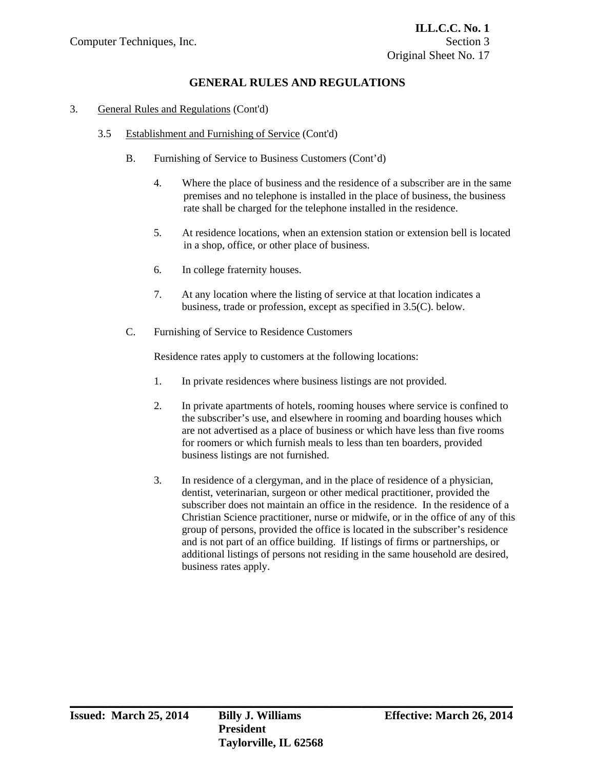### 3. General Rules and Regulations (Cont'd)

- 3.5 Establishment and Furnishing of Service (Cont'd)
	- B. Furnishing of Service to Business Customers (Cont'd)
		- 4. Where the place of business and the residence of a subscriber are in the same premises and no telephone is installed in the place of business, the business rate shall be charged for the telephone installed in the residence.
		- 5. At residence locations, when an extension station or extension bell is located in a shop, office, or other place of business.
		- 6. In college fraternity houses.
		- 7. At any location where the listing of service at that location indicates a business, trade or profession, except as specified in 3.5(C). below.
	- C. Furnishing of Service to Residence Customers

Residence rates apply to customers at the following locations:

- 1. In private residences where business listings are not provided.
- 2. In private apartments of hotels, rooming houses where service is confined to the subscriber's use, and elsewhere in rooming and boarding houses which are not advertised as a place of business or which have less than five rooms for roomers or which furnish meals to less than ten boarders, provided business listings are not furnished.
- 3. In residence of a clergyman, and in the place of residence of a physician, dentist, veterinarian, surgeon or other medical practitioner, provided the subscriber does not maintain an office in the residence. In the residence of a Christian Science practitioner, nurse or midwife, or in the office of any of this group of persons, provided the office is located in the subscriber's residence and is not part of an office building. If listings of firms or partnerships, or additional listings of persons not residing in the same household are desired, business rates apply.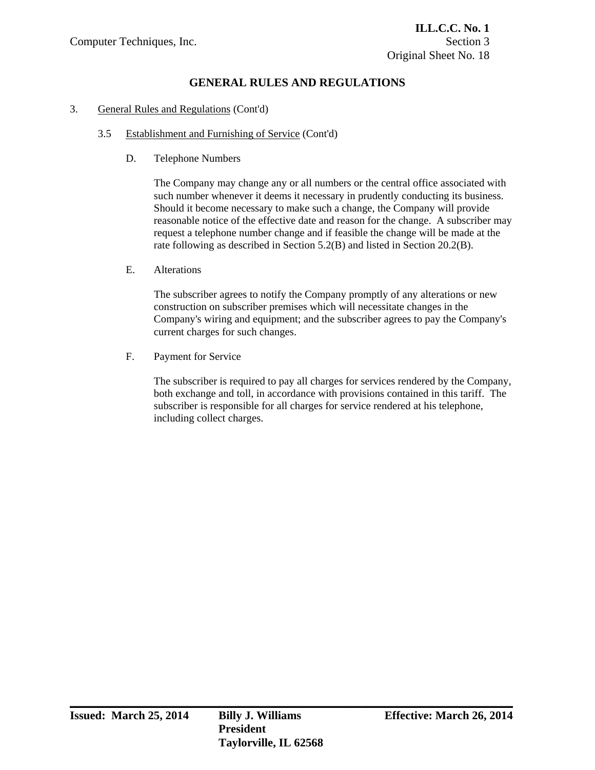### 3. General Rules and Regulations (Cont'd)

### 3.5 Establishment and Furnishing of Service (Cont'd)

D. Telephone Numbers

 The Company may change any or all numbers or the central office associated with such number whenever it deems it necessary in prudently conducting its business. Should it become necessary to make such a change, the Company will provide reasonable notice of the effective date and reason for the change. A subscriber may request a telephone number change and if feasible the change will be made at the rate following as described in Section 5.2(B) and listed in Section 20.2(B).

E. Alterations

 The subscriber agrees to notify the Company promptly of any alterations or new construction on subscriber premises which will necessitate changes in the Company's wiring and equipment; and the subscriber agrees to pay the Company's current charges for such changes.

F. Payment for Service

 The subscriber is required to pay all charges for services rendered by the Company, both exchange and toll, in accordance with provisions contained in this tariff. The subscriber is responsible for all charges for service rendered at his telephone, including collect charges.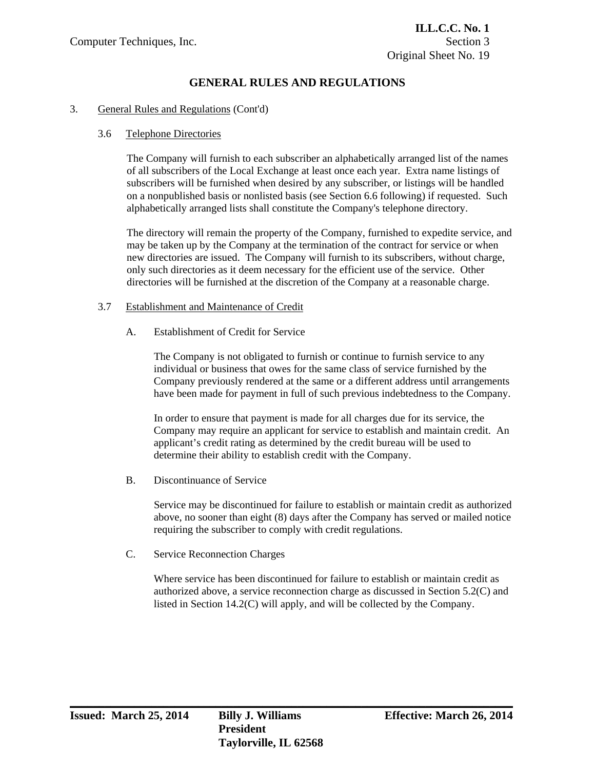### 3. General Rules and Regulations (Cont'd)

### 3.6 Telephone Directories

The Company will furnish to each subscriber an alphabetically arranged list of the names of all subscribers of the Local Exchange at least once each year. Extra name listings of subscribers will be furnished when desired by any subscriber, or listings will be handled on a nonpublished basis or nonlisted basis (see Section 6.6 following) if requested. Such alphabetically arranged lists shall constitute the Company's telephone directory.

The directory will remain the property of the Company, furnished to expedite service, and may be taken up by the Company at the termination of the contract for service or when new directories are issued. The Company will furnish to its subscribers, without charge, only such directories as it deem necessary for the efficient use of the service. Other directories will be furnished at the discretion of the Company at a reasonable charge.

### 3.7 Establishment and Maintenance of Credit

A. Establishment of Credit for Service

 The Company is not obligated to furnish or continue to furnish service to any individual or business that owes for the same class of service furnished by the Company previously rendered at the same or a different address until arrangements have been made for payment in full of such previous indebtedness to the Company.

 In order to ensure that payment is made for all charges due for its service, the Company may require an applicant for service to establish and maintain credit. An applicant's credit rating as determined by the credit bureau will be used to determine their ability to establish credit with the Company.

B. Discontinuance of Service

 Service may be discontinued for failure to establish or maintain credit as authorized above, no sooner than eight (8) days after the Company has served or mailed notice requiring the subscriber to comply with credit regulations.

C. Service Reconnection Charges

 Where service has been discontinued for failure to establish or maintain credit as authorized above, a service reconnection charge as discussed in Section 5.2(C) and listed in Section 14.2(C) will apply, and will be collected by the Company.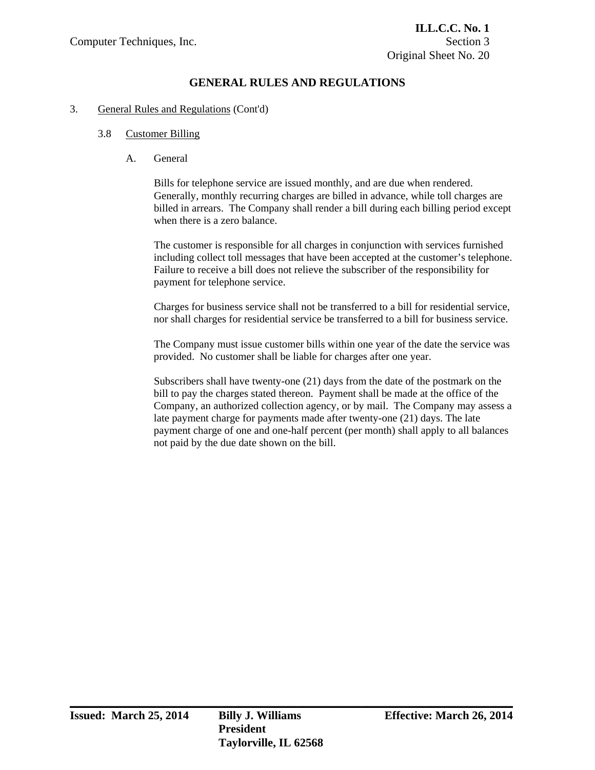### 3. General Rules and Regulations (Cont'd)

### 3.8 Customer Billing

A. General

 Bills for telephone service are issued monthly, and are due when rendered. Generally, monthly recurring charges are billed in advance, while toll charges are billed in arrears. The Company shall render a bill during each billing period except when there is a zero balance.

 The customer is responsible for all charges in conjunction with services furnished including collect toll messages that have been accepted at the customer's telephone. Failure to receive a bill does not relieve the subscriber of the responsibility for payment for telephone service.

 Charges for business service shall not be transferred to a bill for residential service, nor shall charges for residential service be transferred to a bill for business service.

 The Company must issue customer bills within one year of the date the service was provided. No customer shall be liable for charges after one year.

 Subscribers shall have twenty-one (21) days from the date of the postmark on the bill to pay the charges stated thereon. Payment shall be made at the office of the Company, an authorized collection agency, or by mail. The Company may assess a late payment charge for payments made after twenty-one (21) days. The late payment charge of one and one-half percent (per month) shall apply to all balances not paid by the due date shown on the bill.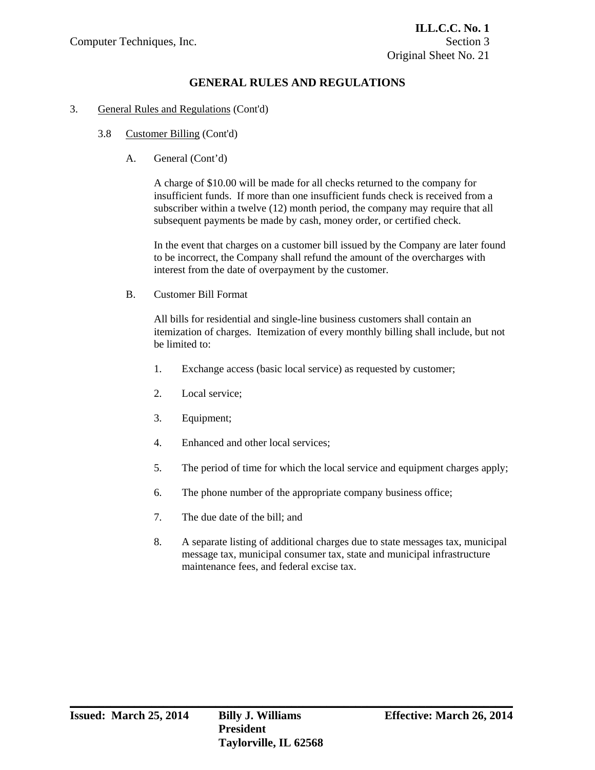### 3. General Rules and Regulations (Cont'd)

- 3.8 Customer Billing (Cont'd)
	- A. General (Cont'd)

 A charge of \$10.00 will be made for all checks returned to the company for insufficient funds. If more than one insufficient funds check is received from a subscriber within a twelve (12) month period, the company may require that all subsequent payments be made by cash, money order, or certified check.

 In the event that charges on a customer bill issued by the Company are later found to be incorrect, the Company shall refund the amount of the overcharges with interest from the date of overpayment by the customer.

B. Customer Bill Format

 All bills for residential and single-line business customers shall contain an itemization of charges. Itemization of every monthly billing shall include, but not be limited to:

- 1. Exchange access (basic local service) as requested by customer;
- 2. Local service;
- 3. Equipment;
- 4. Enhanced and other local services;
- 5. The period of time for which the local service and equipment charges apply;
- 6. The phone number of the appropriate company business office;
- 7. The due date of the bill; and
- 8. A separate listing of additional charges due to state messages tax, municipal message tax, municipal consumer tax, state and municipal infrastructure maintenance fees, and federal excise tax.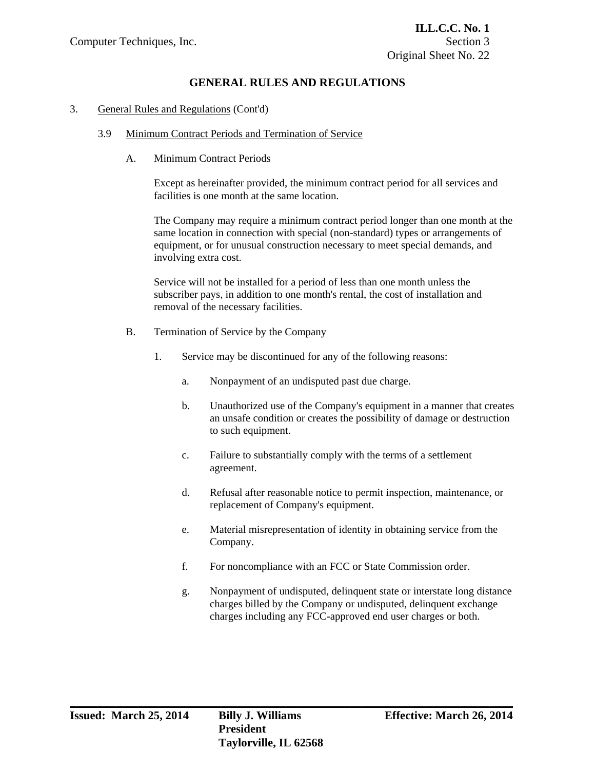#### 3. General Rules and Regulations (Cont'd)

### 3.9 Minimum Contract Periods and Termination of Service

A. Minimum Contract Periods

 Except as hereinafter provided, the minimum contract period for all services and facilities is one month at the same location.

 The Company may require a minimum contract period longer than one month at the same location in connection with special (non-standard) types or arrangements of equipment, or for unusual construction necessary to meet special demands, and involving extra cost.

 Service will not be installed for a period of less than one month unless the subscriber pays, in addition to one month's rental, the cost of installation and removal of the necessary facilities.

- B. Termination of Service by the Company
	- 1. Service may be discontinued for any of the following reasons:
		- a. Nonpayment of an undisputed past due charge.
		- b. Unauthorized use of the Company's equipment in a manner that creates an unsafe condition or creates the possibility of damage or destruction to such equipment.
		- c. Failure to substantially comply with the terms of a settlement agreement.
		- d. Refusal after reasonable notice to permit inspection, maintenance, or replacement of Company's equipment.
		- e. Material misrepresentation of identity in obtaining service from the Company.
		- f. For noncompliance with an FCC or State Commission order.
		- g. Nonpayment of undisputed, delinquent state or interstate long distance charges billed by the Company or undisputed, delinquent exchange charges including any FCC-approved end user charges or both.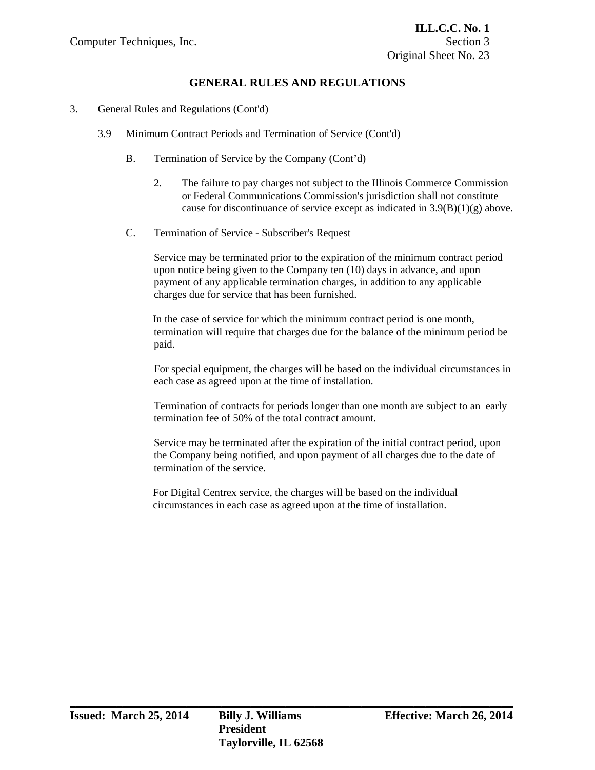### 3. General Rules and Regulations (Cont'd)

- 3.9 Minimum Contract Periods and Termination of Service (Cont'd)
	- B. Termination of Service by the Company (Cont'd)
		- 2. The failure to pay charges not subject to the Illinois Commerce Commission or Federal Communications Commission's jurisdiction shall not constitute cause for discontinuance of service except as indicated in  $3.9(B)(1)(g)$  above.
	- C. Termination of Service Subscriber's Request

 Service may be terminated prior to the expiration of the minimum contract period upon notice being given to the Company ten (10) days in advance, and upon payment of any applicable termination charges, in addition to any applicable charges due for service that has been furnished.

 In the case of service for which the minimum contract period is one month, termination will require that charges due for the balance of the minimum period be paid.

 For special equipment, the charges will be based on the individual circumstances in each case as agreed upon at the time of installation.

 Termination of contracts for periods longer than one month are subject to an early termination fee of 50% of the total contract amount.

 Service may be terminated after the expiration of the initial contract period, upon the Company being notified, and upon payment of all charges due to the date of termination of the service.

 For Digital Centrex service, the charges will be based on the individual circumstances in each case as agreed upon at the time of installation.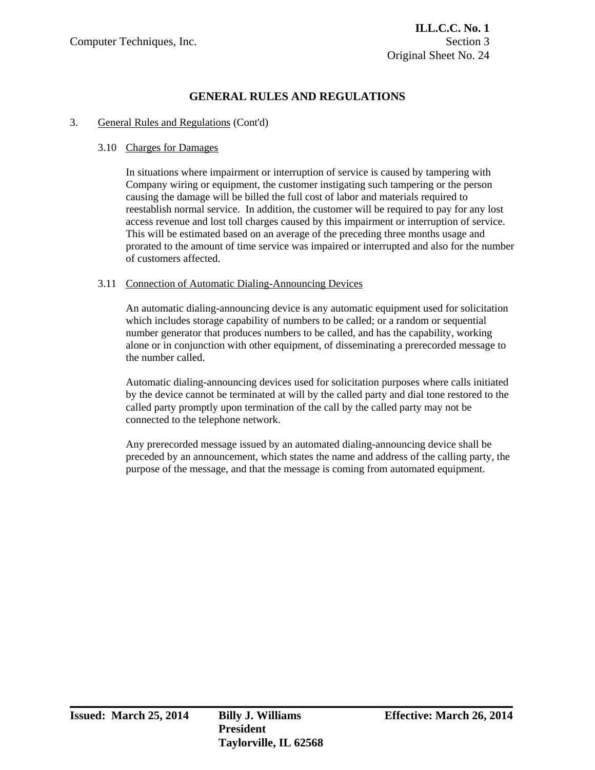### 3. General Rules and Regulations (Cont'd)

### 3.10 Charges for Damages

 In situations where impairment or interruption of service is caused by tampering with Company wiring or equipment, the customer instigating such tampering or the person causing the damage will be billed the full cost of labor and materials required to reestablish normal service. In addition, the customer will be required to pay for any lost access revenue and lost toll charges caused by this impairment or interruption of service. This will be estimated based on an average of the preceding three months usage and prorated to the amount of time service was impaired or interrupted and also for the number of customers affected.

### 3.11 Connection of Automatic Dialing-Announcing Devices

 An automatic dialing-announcing device is any automatic equipment used for solicitation which includes storage capability of numbers to be called; or a random or sequential number generator that produces numbers to be called, and has the capability, working alone or in conjunction with other equipment, of disseminating a prerecorded message to the number called.

 Automatic dialing-announcing devices used for solicitation purposes where calls initiated by the device cannot be terminated at will by the called party and dial tone restored to the called party promptly upon termination of the call by the called party may not be connected to the telephone network.

 Any prerecorded message issued by an automated dialing-announcing device shall be preceded by an announcement, which states the name and address of the calling party, the purpose of the message, and that the message is coming from automated equipment.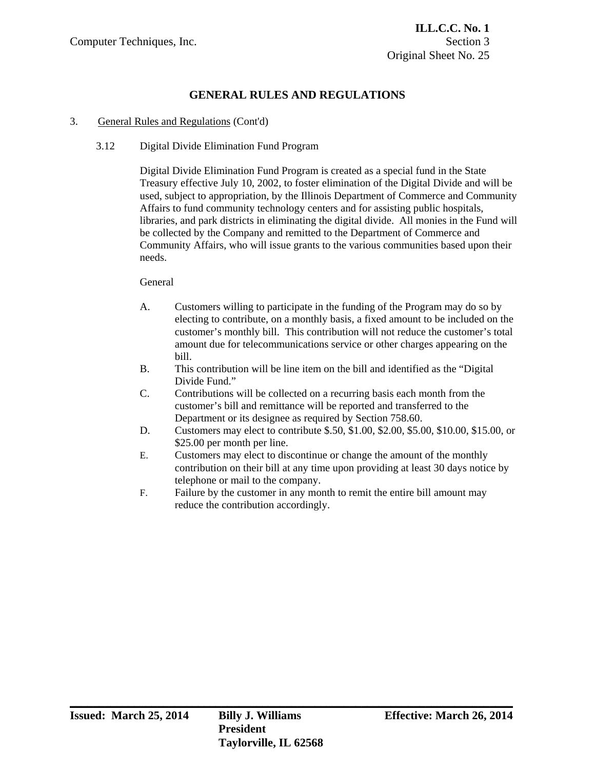### 3. General Rules and Regulations (Cont'd)

### 3.12 Digital Divide Elimination Fund Program

Digital Divide Elimination Fund Program is created as a special fund in the State Treasury effective July 10, 2002, to foster elimination of the Digital Divide and will be used, subject to appropriation, by the Illinois Department of Commerce and Community Affairs to fund community technology centers and for assisting public hospitals, libraries, and park districts in eliminating the digital divide. All monies in the Fund will be collected by the Company and remitted to the Department of Commerce and Community Affairs, who will issue grants to the various communities based upon their needs.

### General

- A. Customers willing to participate in the funding of the Program may do so by electing to contribute, on a monthly basis, a fixed amount to be included on the customer's monthly bill. This contribution will not reduce the customer's total amount due for telecommunications service or other charges appearing on the bill.
- B. This contribution will be line item on the bill and identified as the "Digital Divide Fund."
- C. Contributions will be collected on a recurring basis each month from the customer's bill and remittance will be reported and transferred to the Department or its designee as required by Section 758.60.
- D. Customers may elect to contribute \$.50, \$1.00, \$2.00, \$5.00, \$10.00, \$15.00, or \$25.00 per month per line.
- E. Customers may elect to discontinue or change the amount of the monthly contribution on their bill at any time upon providing at least 30 days notice by telephone or mail to the company.
- F. Failure by the customer in any month to remit the entire bill amount may reduce the contribution accordingly.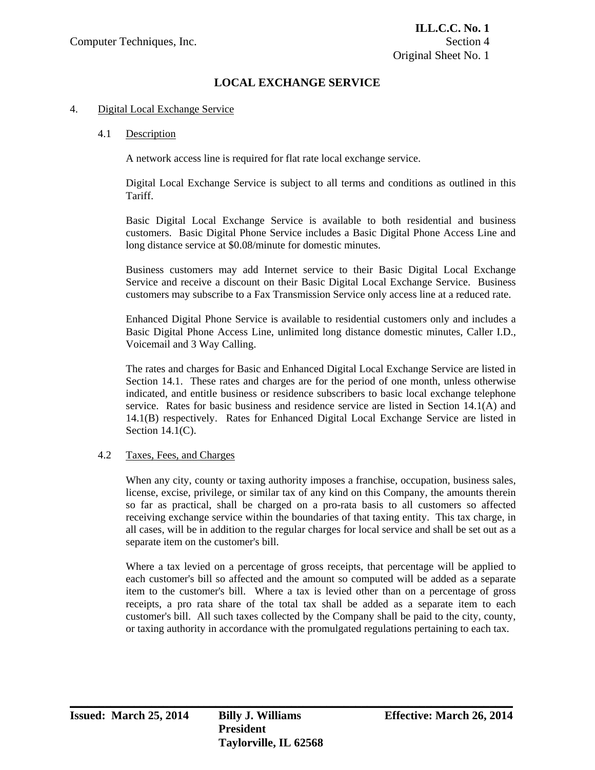#### 4. Digital Local Exchange Service

#### 4.1 Description

A network access line is required for flat rate local exchange service.

 Digital Local Exchange Service is subject to all terms and conditions as outlined in this Tariff.

 Basic Digital Local Exchange Service is available to both residential and business customers. Basic Digital Phone Service includes a Basic Digital Phone Access Line and long distance service at \$0.08/minute for domestic minutes.

 Business customers may add Internet service to their Basic Digital Local Exchange Service and receive a discount on their Basic Digital Local Exchange Service. Business customers may subscribe to a Fax Transmission Service only access line at a reduced rate.

 Enhanced Digital Phone Service is available to residential customers only and includes a Basic Digital Phone Access Line, unlimited long distance domestic minutes, Caller I.D., Voicemail and 3 Way Calling.

 The rates and charges for Basic and Enhanced Digital Local Exchange Service are listed in Section 14.1. These rates and charges are for the period of one month, unless otherwise indicated, and entitle business or residence subscribers to basic local exchange telephone service. Rates for basic business and residence service are listed in Section 14.1(A) and 14.1(B) respectively. Rates for Enhanced Digital Local Exchange Service are listed in Section 14.1(C).

### 4.2 Taxes, Fees, and Charges

 When any city, county or taxing authority imposes a franchise, occupation, business sales, license, excise, privilege, or similar tax of any kind on this Company, the amounts therein so far as practical, shall be charged on a pro-rata basis to all customers so affected receiving exchange service within the boundaries of that taxing entity. This tax charge, in all cases, will be in addition to the regular charges for local service and shall be set out as a separate item on the customer's bill.

 Where a tax levied on a percentage of gross receipts, that percentage will be applied to each customer's bill so affected and the amount so computed will be added as a separate item to the customer's bill. Where a tax is levied other than on a percentage of gross receipts, a pro rata share of the total tax shall be added as a separate item to each customer's bill. All such taxes collected by the Company shall be paid to the city, county, or taxing authority in accordance with the promulgated regulations pertaining to each tax.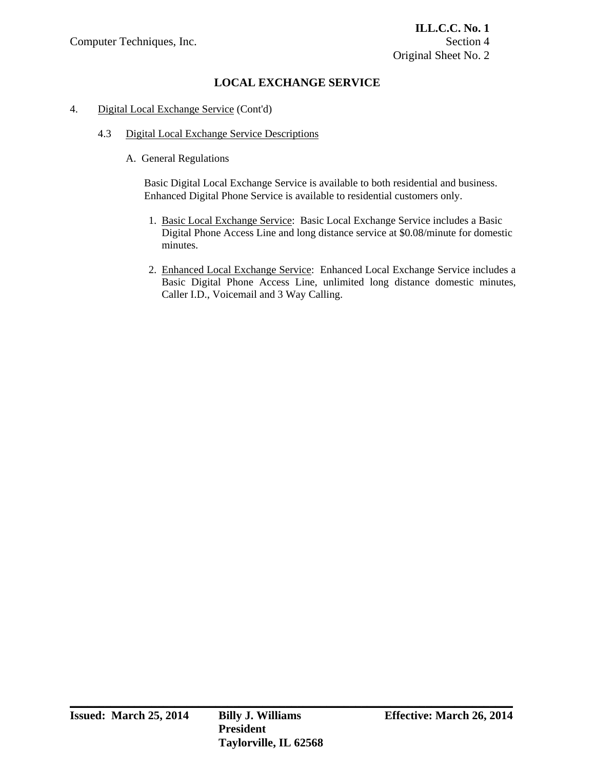### 4. Digital Local Exchange Service (Cont'd)

## 4.3 Digital Local Exchange Service Descriptions

A. General Regulations

Basic Digital Local Exchange Service is available to both residential and business. Enhanced Digital Phone Service is available to residential customers only.

- 1. Basic Local Exchange Service: Basic Local Exchange Service includes a Basic Digital Phone Access Line and long distance service at \$0.08/minute for domestic minutes.
- 2. Enhanced Local Exchange Service: Enhanced Local Exchange Service includes a Basic Digital Phone Access Line, unlimited long distance domestic minutes, Caller I.D., Voicemail and 3 Way Calling.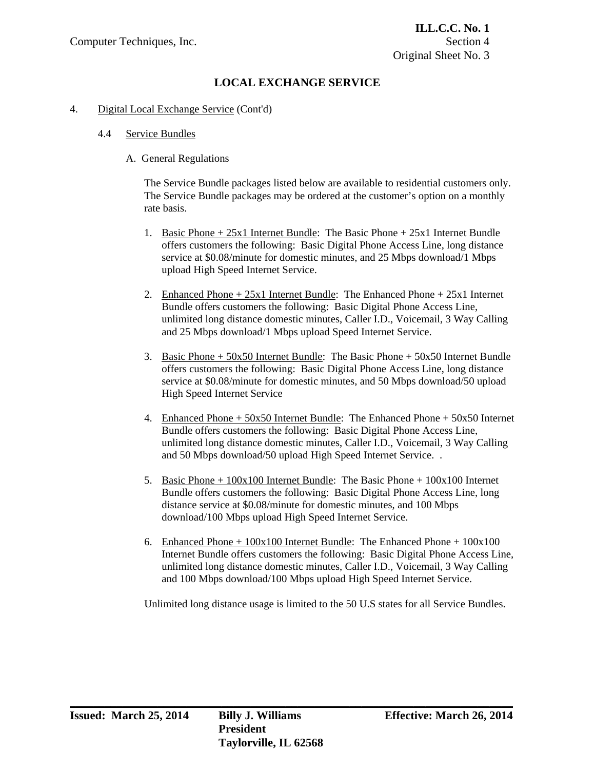#### 4. Digital Local Exchange Service (Cont'd)

#### 4.4 Service Bundles

#### A. General Regulations

The Service Bundle packages listed below are available to residential customers only. The Service Bundle packages may be ordered at the customer's option on a monthly rate basis.

- 1. Basic Phone + 25x1 Internet Bundle: The Basic Phone + 25x1 Internet Bundle offers customers the following: Basic Digital Phone Access Line, long distance service at \$0.08/minute for domestic minutes, and 25 Mbps download/1 Mbps upload High Speed Internet Service.
- 2. Enhanced Phone + 25x1 Internet Bundle: The Enhanced Phone + 25x1 Internet Bundle offers customers the following: Basic Digital Phone Access Line, unlimited long distance domestic minutes, Caller I.D., Voicemail, 3 Way Calling and 25 Mbps download/1 Mbps upload Speed Internet Service.
- 3. Basic Phone + 50x50 Internet Bundle: The Basic Phone + 50x50 Internet Bundle offers customers the following: Basic Digital Phone Access Line, long distance service at \$0.08/minute for domestic minutes, and 50 Mbps download/50 upload High Speed Internet Service
- 4. Enhanced Phone + 50x50 Internet Bundle: The Enhanced Phone + 50x50 Internet Bundle offers customers the following: Basic Digital Phone Access Line, unlimited long distance domestic minutes, Caller I.D., Voicemail, 3 Way Calling and 50 Mbps download/50 upload High Speed Internet Service. .
- 5. Basic Phone  $+100x100$  Internet Bundle: The Basic Phone  $+100x100$  Internet Bundle offers customers the following: Basic Digital Phone Access Line, long distance service at \$0.08/minute for domestic minutes, and 100 Mbps download/100 Mbps upload High Speed Internet Service.
- 6. Enhanced Phone  $+100x100$  Internet Bundle: The Enhanced Phone  $+100x100$ Internet Bundle offers customers the following: Basic Digital Phone Access Line, unlimited long distance domestic minutes, Caller I.D., Voicemail, 3 Way Calling and 100 Mbps download/100 Mbps upload High Speed Internet Service.

Unlimited long distance usage is limited to the 50 U.S states for all Service Bundles.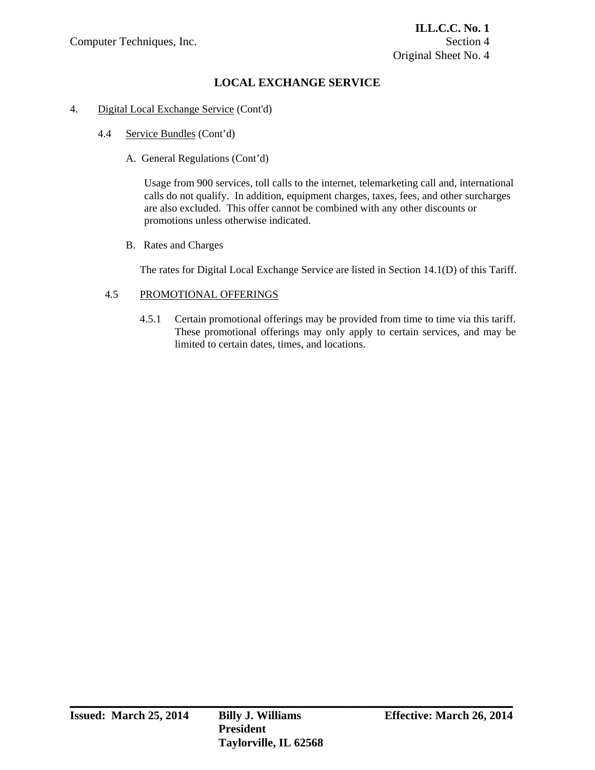#### 4. Digital Local Exchange Service (Cont'd)

- 4.4 Service Bundles (Cont'd)
	- A. General Regulations (Cont'd)

Usage from 900 services, toll calls to the internet, telemarketing call and, international calls do not qualify. In addition, equipment charges, taxes, fees, and other surcharges are also excluded. This offer cannot be combined with any other discounts or promotions unless otherwise indicated.

B. Rates and Charges

The rates for Digital Local Exchange Service are listed in Section 14.1(D) of this Tariff.

#### 4.5 PROMOTIONAL OFFERINGS

4.5.1 Certain promotional offerings may be provided from time to time via this tariff. These promotional offerings may only apply to certain services, and may be limited to certain dates, times, and locations.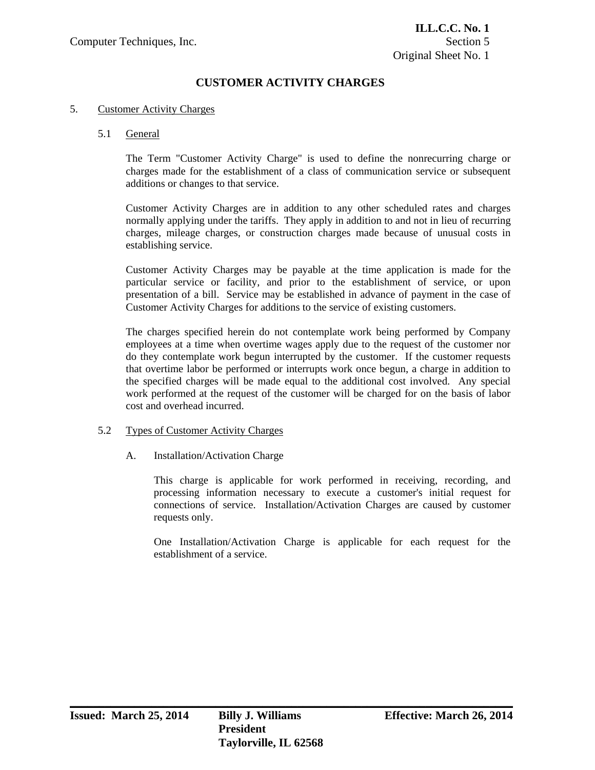# **CUSTOMER ACTIVITY CHARGES**

#### 5. Customer Activity Charges

#### 5.1 General

 The Term "Customer Activity Charge" is used to define the nonrecurring charge or charges made for the establishment of a class of communication service or subsequent additions or changes to that service.

 Customer Activity Charges are in addition to any other scheduled rates and charges normally applying under the tariffs. They apply in addition to and not in lieu of recurring charges, mileage charges, or construction charges made because of unusual costs in establishing service.

 Customer Activity Charges may be payable at the time application is made for the particular service or facility, and prior to the establishment of service, or upon presentation of a bill. Service may be established in advance of payment in the case of Customer Activity Charges for additions to the service of existing customers.

 The charges specified herein do not contemplate work being performed by Company employees at a time when overtime wages apply due to the request of the customer nor do they contemplate work begun interrupted by the customer. If the customer requests that overtime labor be performed or interrupts work once begun, a charge in addition to the specified charges will be made equal to the additional cost involved. Any special work performed at the request of the customer will be charged for on the basis of labor cost and overhead incurred.

#### 5.2 Types of Customer Activity Charges

A. Installation/Activation Charge

 This charge is applicable for work performed in receiving, recording, and processing information necessary to execute a customer's initial request for connections of service. Installation/Activation Charges are caused by customer requests only.

 One Installation/Activation Charge is applicable for each request for the establishment of a service.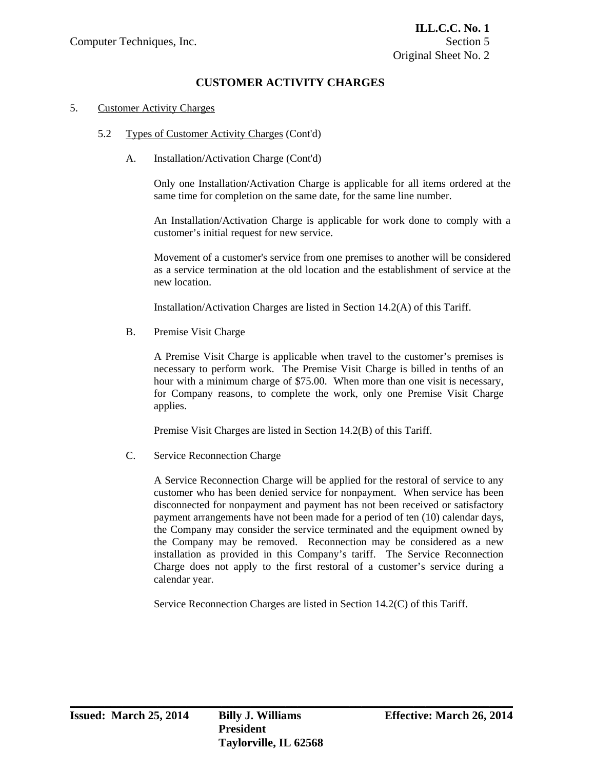# **CUSTOMER ACTIVITY CHARGES**

#### 5. Customer Activity Charges

- 5.2 Types of Customer Activity Charges (Cont'd)
	- A. Installation/Activation Charge (Cont'd)

 Only one Installation/Activation Charge is applicable for all items ordered at the same time for completion on the same date, for the same line number.

 An Installation/Activation Charge is applicable for work done to comply with a customer's initial request for new service.

 Movement of a customer's service from one premises to another will be considered as a service termination at the old location and the establishment of service at the new location.

Installation/Activation Charges are listed in Section 14.2(A) of this Tariff.

B. Premise Visit Charge

 A Premise Visit Charge is applicable when travel to the customer's premises is necessary to perform work. The Premise Visit Charge is billed in tenths of an hour with a minimum charge of \$75.00. When more than one visit is necessary, for Company reasons, to complete the work, only one Premise Visit Charge applies.

Premise Visit Charges are listed in Section 14.2(B) of this Tariff.

C. Service Reconnection Charge

 A Service Reconnection Charge will be applied for the restoral of service to any customer who has been denied service for nonpayment. When service has been disconnected for nonpayment and payment has not been received or satisfactory payment arrangements have not been made for a period of ten (10) calendar days, the Company may consider the service terminated and the equipment owned by the Company may be removed. Reconnection may be considered as a new installation as provided in this Company's tariff. The Service Reconnection Charge does not apply to the first restoral of a customer's service during a calendar year.

Service Reconnection Charges are listed in Section 14.2(C) of this Tariff.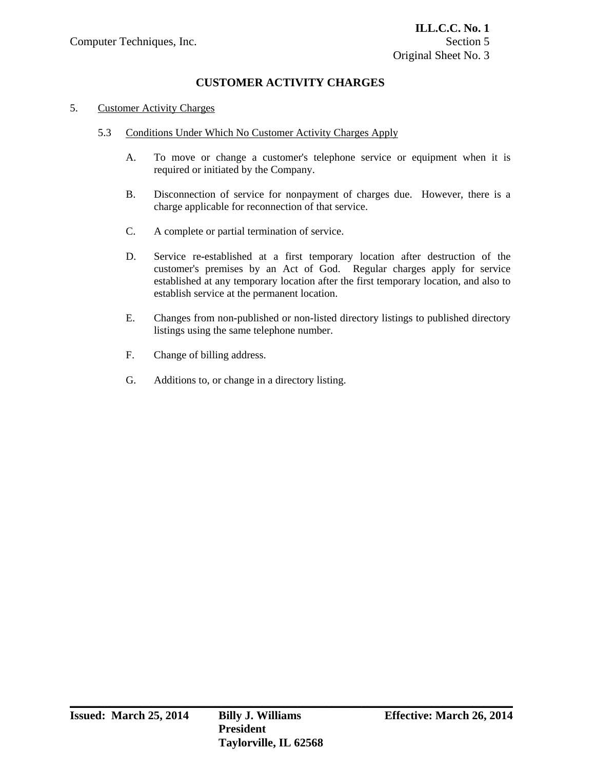# **CUSTOMER ACTIVITY CHARGES**

#### 5. Customer Activity Charges

- 5.3 Conditions Under Which No Customer Activity Charges Apply
	- A. To move or change a customer's telephone service or equipment when it is required or initiated by the Company.
	- B. Disconnection of service for nonpayment of charges due. However, there is a charge applicable for reconnection of that service.
	- C. A complete or partial termination of service.
	- D. Service re-established at a first temporary location after destruction of the customer's premises by an Act of God. Regular charges apply for service established at any temporary location after the first temporary location, and also to establish service at the permanent location.
	- E. Changes from non-published or non-listed directory listings to published directory listings using the same telephone number.

- F. Change of billing address.
- G. Additions to, or change in a directory listing.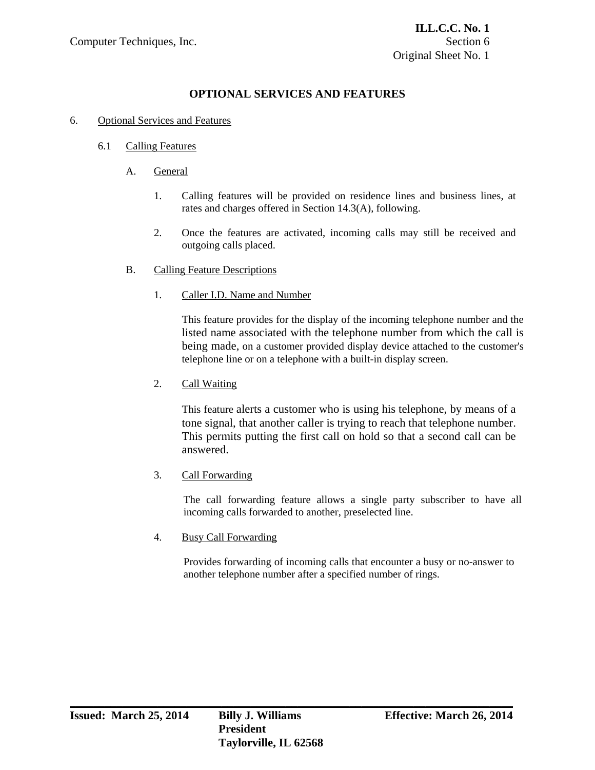## 6. Optional Services and Features

## 6.1 Calling Features

- A. General
	- 1. Calling features will be provided on residence lines and business lines, at rates and charges offered in Section 14.3(A), following.
	- 2. Once the features are activated, incoming calls may still be received and outgoing calls placed.
- B. Calling Feature Descriptions
	- 1. Caller I.D. Name and Number

 This feature provides for the display of the incoming telephone number and the listed name associated with the telephone number from which the call is being made, on a customer provided display device attached to the customer's telephone line or on a telephone with a built-in display screen.

2. Call Waiting

 This feature alerts a customer who is using his telephone, by means of a tone signal, that another caller is trying to reach that telephone number. This permits putting the first call on hold so that a second call can be answered.

3. Call Forwarding

The call forwarding feature allows a single party subscriber to have all incoming calls forwarded to another, preselected line.

4. Busy Call Forwarding

Provides forwarding of incoming calls that encounter a busy or no-answer to another telephone number after a specified number of rings.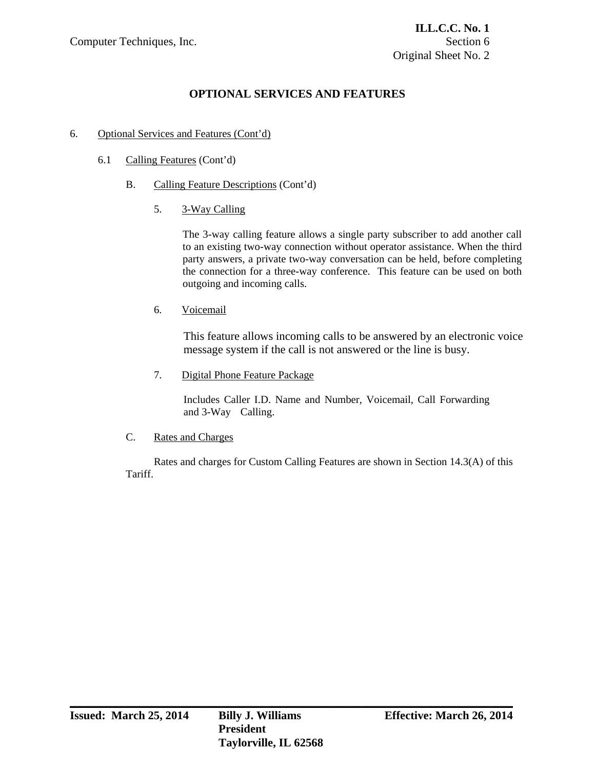## 6. Optional Services and Features (Cont'd)

- 6.1 Calling Features (Cont'd)
	- B. Calling Feature Descriptions (Cont'd)
		- 5. 3-Way Calling

The 3-way calling feature allows a single party subscriber to add another call to an existing two-way connection without operator assistance. When the third party answers, a private two-way conversation can be held, before completing the connection for a three-way conference. This feature can be used on both outgoing and incoming calls.

6. Voicemail

This feature allows incoming calls to be answered by an electronic voice message system if the call is not answered or the line is busy.

7. Digital Phone Feature Package

Includes Caller I.D. Name and Number, Voicemail, Call Forwarding and 3-Way Calling.

C. Rates and Charges

 Rates and charges for Custom Calling Features are shown in Section 14.3(A) of this Tariff.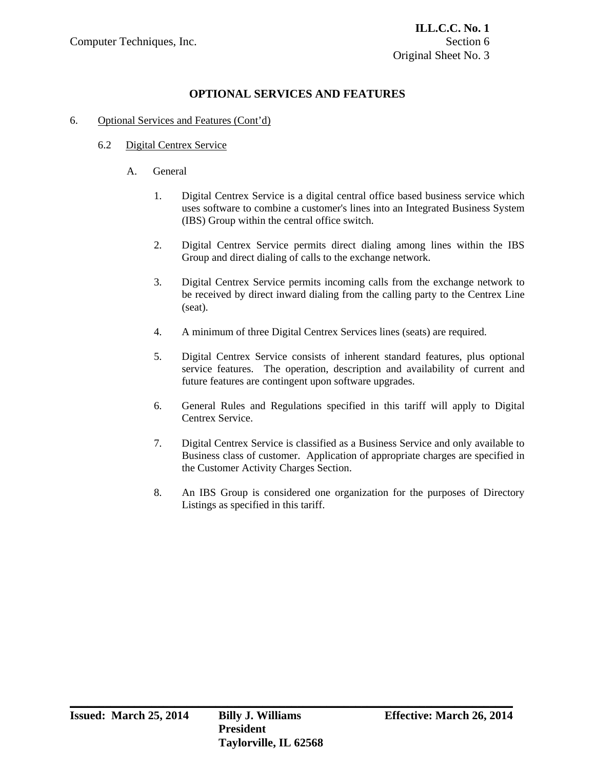## 6. Optional Services and Features (Cont'd)

### 6.2 Digital Centrex Service

- A. General
	- 1. Digital Centrex Service is a digital central office based business service which uses software to combine a customer's lines into an Integrated Business System (IBS) Group within the central office switch.
	- 2. Digital Centrex Service permits direct dialing among lines within the IBS Group and direct dialing of calls to the exchange network.
	- 3. Digital Centrex Service permits incoming calls from the exchange network to be received by direct inward dialing from the calling party to the Centrex Line (seat).
	- 4. A minimum of three Digital Centrex Services lines (seats) are required.
	- 5. Digital Centrex Service consists of inherent standard features, plus optional service features. The operation, description and availability of current and future features are contingent upon software upgrades.
	- 6. General Rules and Regulations specified in this tariff will apply to Digital Centrex Service.
	- 7. Digital Centrex Service is classified as a Business Service and only available to Business class of customer. Application of appropriate charges are specified in the Customer Activity Charges Section.
	- 8. An IBS Group is considered one organization for the purposes of Directory Listings as specified in this tariff.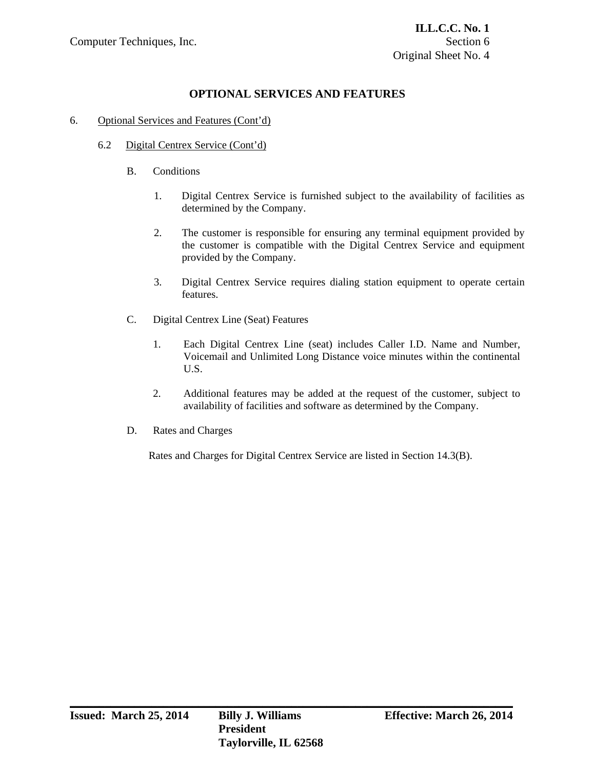## 6. Optional Services and Features (Cont'd)

- 6.2 Digital Centrex Service (Cont'd)
	- B. Conditions
		- 1. Digital Centrex Service is furnished subject to the availability of facilities as determined by the Company.
		- 2. The customer is responsible for ensuring any terminal equipment provided by the customer is compatible with the Digital Centrex Service and equipment provided by the Company.
		- 3. Digital Centrex Service requires dialing station equipment to operate certain features.
	- C. Digital Centrex Line (Seat) Features
		- 1. Each Digital Centrex Line (seat) includes Caller I.D. Name and Number, Voicemail and Unlimited Long Distance voice minutes within the continental U.S.
		- 2. Additional features may be added at the request of the customer, subject to availability of facilities and software as determined by the Company.
	- D. Rates and Charges

Rates and Charges for Digital Centrex Service are listed in Section 14.3(B).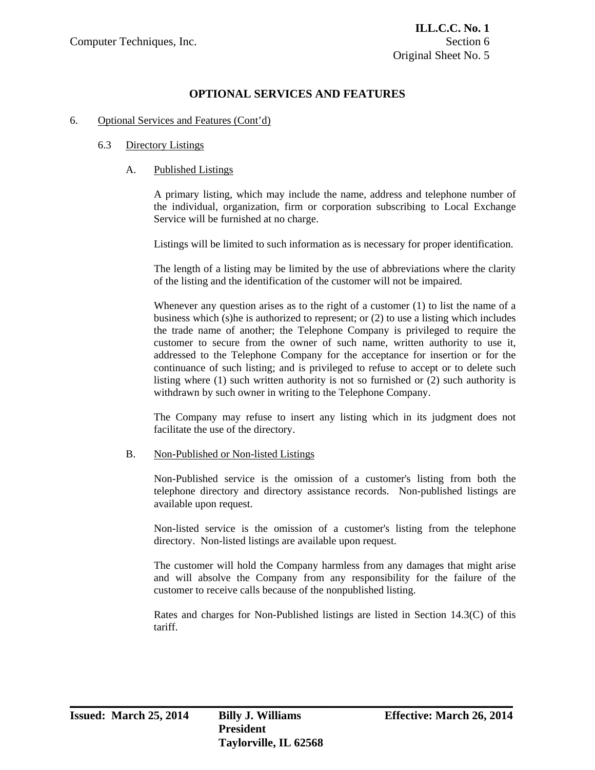#### 6. Optional Services and Features (Cont'd)

#### 6.3 Directory Listings

#### A. Published Listings

 A primary listing, which may include the name, address and telephone number of the individual, organization, firm or corporation subscribing to Local Exchange Service will be furnished at no charge.

Listings will be limited to such information as is necessary for proper identification.

 The length of a listing may be limited by the use of abbreviations where the clarity of the listing and the identification of the customer will not be impaired.

 Whenever any question arises as to the right of a customer (1) to list the name of a business which (s)he is authorized to represent; or (2) to use a listing which includes the trade name of another; the Telephone Company is privileged to require the customer to secure from the owner of such name, written authority to use it, addressed to the Telephone Company for the acceptance for insertion or for the continuance of such listing; and is privileged to refuse to accept or to delete such listing where (1) such written authority is not so furnished or (2) such authority is withdrawn by such owner in writing to the Telephone Company.

 The Company may refuse to insert any listing which in its judgment does not facilitate the use of the directory.

#### B. Non-Published or Non-listed Listings

 Non-Published service is the omission of a customer's listing from both the telephone directory and directory assistance records. Non-published listings are available upon request.

 Non-listed service is the omission of a customer's listing from the telephone directory. Non-listed listings are available upon request.

 The customer will hold the Company harmless from any damages that might arise and will absolve the Company from any responsibility for the failure of the customer to receive calls because of the nonpublished listing.

 Rates and charges for Non-Published listings are listed in Section 14.3(C) of this tariff.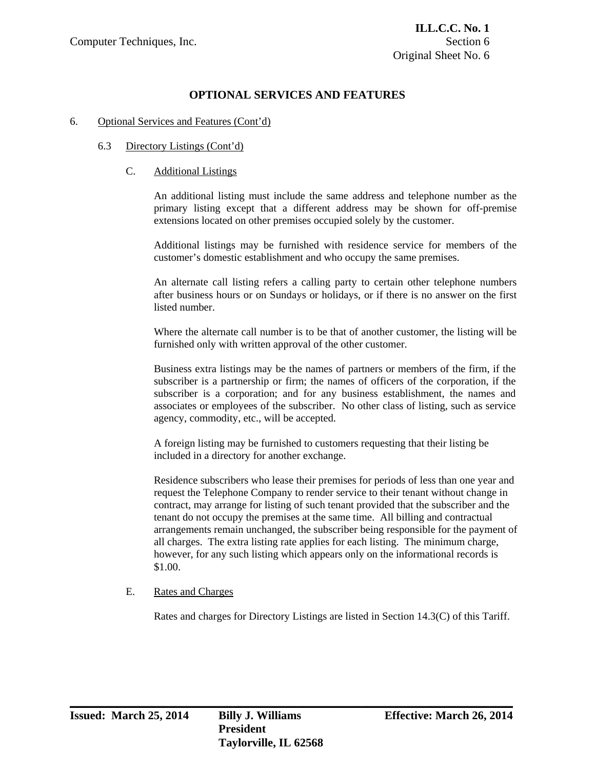#### 6. Optional Services and Features (Cont'd)

#### 6.3 Directory Listings (Cont'd)

### C. Additional Listings

 An additional listing must include the same address and telephone number as the primary listing except that a different address may be shown for off-premise extensions located on other premises occupied solely by the customer.

 Additional listings may be furnished with residence service for members of the customer's domestic establishment and who occupy the same premises.

 An alternate call listing refers a calling party to certain other telephone numbers after business hours or on Sundays or holidays, or if there is no answer on the first listed number.

 Where the alternate call number is to be that of another customer, the listing will be furnished only with written approval of the other customer.

 Business extra listings may be the names of partners or members of the firm, if the subscriber is a partnership or firm; the names of officers of the corporation, if the subscriber is a corporation; and for any business establishment, the names and associates or employees of the subscriber. No other class of listing, such as service agency, commodity, etc., will be accepted.

 A foreign listing may be furnished to customers requesting that their listing be included in a directory for another exchange.

 Residence subscribers who lease their premises for periods of less than one year and request the Telephone Company to render service to their tenant without change in contract, may arrange for listing of such tenant provided that the subscriber and the tenant do not occupy the premises at the same time. All billing and contractual arrangements remain unchanged, the subscriber being responsible for the payment of all charges. The extra listing rate applies for each listing. The minimum charge, however, for any such listing which appears only on the informational records is \$1.00.

### E. Rates and Charges

Rates and charges for Directory Listings are listed in Section 14.3(C) of this Tariff.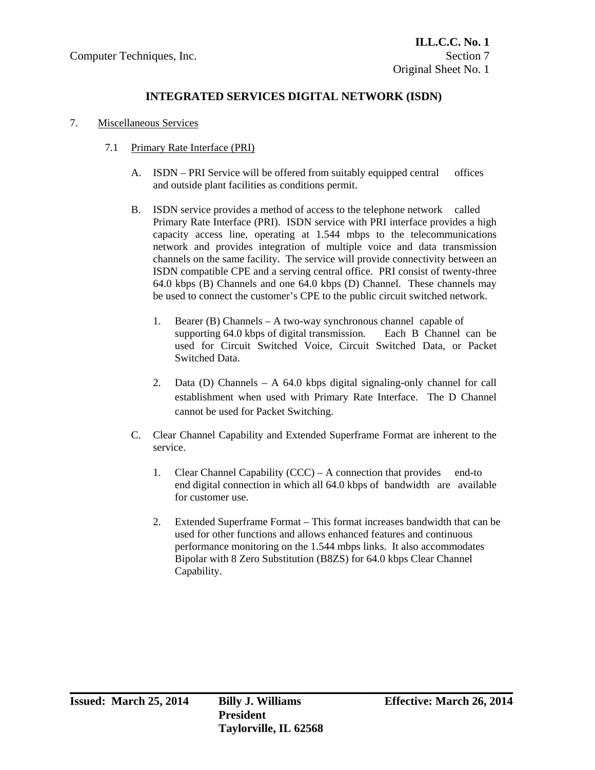# **INTEGRATED SERVICES DIGITAL NETWORK (ISDN)**

### 7. Miscellaneous Services

- 7.1 Primary Rate Interface (PRI)
	- A. ISDN PRI Service will be offered from suitably equipped central offices and outside plant facilities as conditions permit.
	- B. ISDN service provides a method of access to the telephone network called Primary Rate Interface (PRI). ISDN service with PRI interface provides a high capacity access line, operating at 1.544 mbps to the telecommunications network and provides integration of multiple voice and data transmission channels on the same facility. The service will provide connectivity between an ISDN compatible CPE and a serving central office. PRI consist of twenty-three 64.0 kbps (B) Channels and one 64.0 kbps (D) Channel. These channels may be used to connect the customer's CPE to the public circuit switched network.
		- 1. Bearer (B) Channels A two-way synchronous channel capable of supporting 64.0 kbps of digital transmission. Each B Channel can be used for Circuit Switched Voice, Circuit Switched Data, or Packet Switched Data.
		- 2. Data (D) Channels A 64.0 kbps digital signaling-only channel for call establishment when used with Primary Rate Interface. The D Channel cannot be used for Packet Switching.
	- C. Clear Channel Capability and Extended Superframe Format are inherent to the service.
		- 1. Clear Channel Capability (CCC) A connection that provides end-to end digital connection in which all 64.0 kbps of bandwidth are available for customer use.
		- 2. Extended Superframe Format This format increases bandwidth that can be used for other functions and allows enhanced features and continuous performance monitoring on the 1.544 mbps links. It also accommodates Bipolar with 8 Zero Substitution (B8ZS) for 64.0 kbps Clear Channel Capability.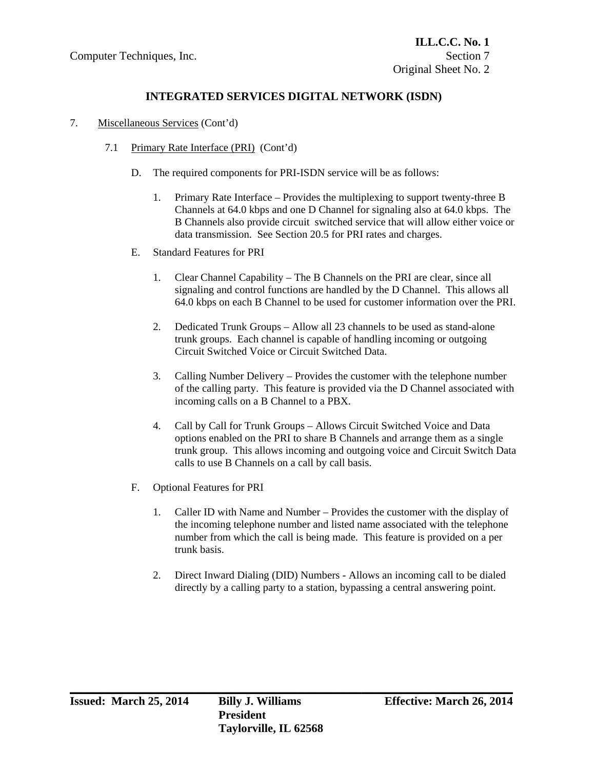# **INTEGRATED SERVICES DIGITAL NETWORK (ISDN)**

- 7. Miscellaneous Services (Cont'd)
	- 7.1 Primary Rate Interface (PRI) (Cont'd)
		- D. The required components for PRI-ISDN service will be as follows:
			- 1. Primary Rate Interface Provides the multiplexing to support twenty-three B Channels at 64.0 kbps and one D Channel for signaling also at 64.0 kbps. The B Channels also provide circuit switched service that will allow either voice or data transmission. See Section 20.5 for PRI rates and charges.
		- E. Standard Features for PRI
			- 1. Clear Channel Capability The B Channels on the PRI are clear, since all signaling and control functions are handled by the D Channel. This allows all 64.0 kbps on each B Channel to be used for customer information over the PRI.
			- 2. Dedicated Trunk Groups Allow all 23 channels to be used as stand-alone trunk groups. Each channel is capable of handling incoming or outgoing Circuit Switched Voice or Circuit Switched Data.
			- 3. Calling Number Delivery Provides the customer with the telephone number of the calling party. This feature is provided via the D Channel associated with incoming calls on a B Channel to a PBX.
			- 4. Call by Call for Trunk Groups Allows Circuit Switched Voice and Data options enabled on the PRI to share B Channels and arrange them as a single trunk group. This allows incoming and outgoing voice and Circuit Switch Data calls to use B Channels on a call by call basis.
		- F. Optional Features for PRI
			- 1. Caller ID with Name and Number Provides the customer with the display of the incoming telephone number and listed name associated with the telephone number from which the call is being made. This feature is provided on a per trunk basis.
			- 2. Direct Inward Dialing (DID) Numbers Allows an incoming call to be dialed directly by a calling party to a station, bypassing a central answering point.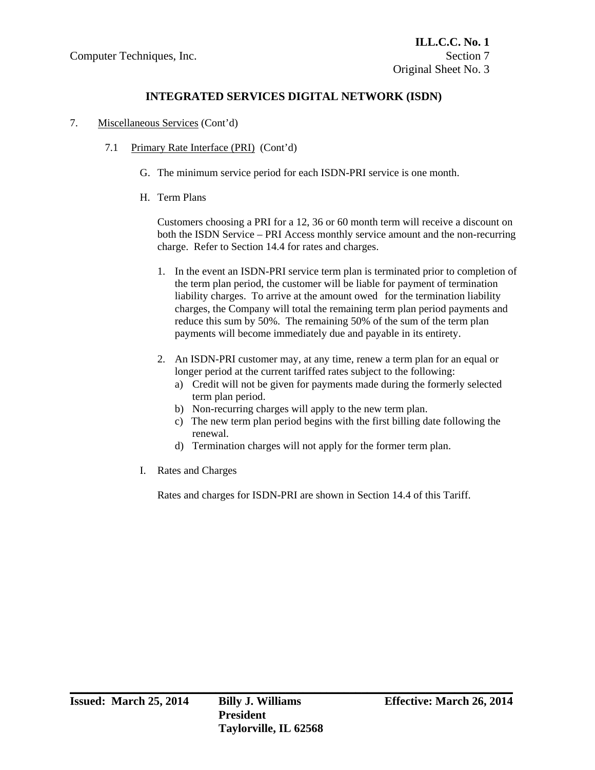# **INTEGRATED SERVICES DIGITAL NETWORK (ISDN)**

- 7. Miscellaneous Services (Cont'd)
	- 7.1 Primary Rate Interface (PRI) (Cont'd)
		- G. The minimum service period for each ISDN-PRI service is one month.
		- H. Term Plans

Customers choosing a PRI for a 12, 36 or 60 month term will receive a discount on both the ISDN Service – PRI Access monthly service amount and the non-recurring charge. Refer to Section 14.4 for rates and charges.

- 1. In the event an ISDN-PRI service term plan is terminated prior to completion of the term plan period, the customer will be liable for payment of termination liability charges. To arrive at the amount owed for the termination liability charges, the Company will total the remaining term plan period payments and reduce this sum by 50%. The remaining 50% of the sum of the term plan payments will become immediately due and payable in its entirety.
- 2. An ISDN-PRI customer may, at any time, renew a term plan for an equal or longer period at the current tariffed rates subject to the following:
	- a) Credit will not be given for payments made during the formerly selected term plan period.
	- b) Non-recurring charges will apply to the new term plan.
	- c) The new term plan period begins with the first billing date following the renewal.
	- d) Termination charges will not apply for the former term plan.
- I. Rates and Charges

Rates and charges for ISDN-PRI are shown in Section 14.4 of this Tariff.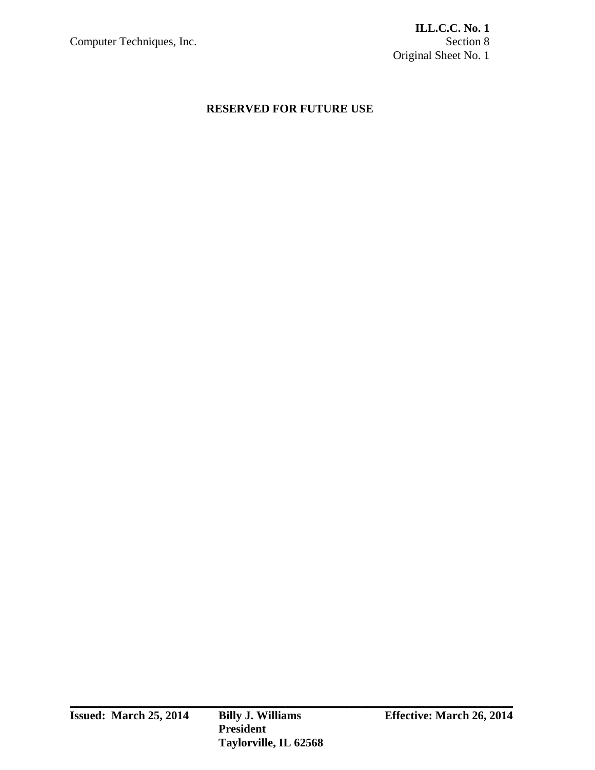# **RESERVED FOR FUTURE USE**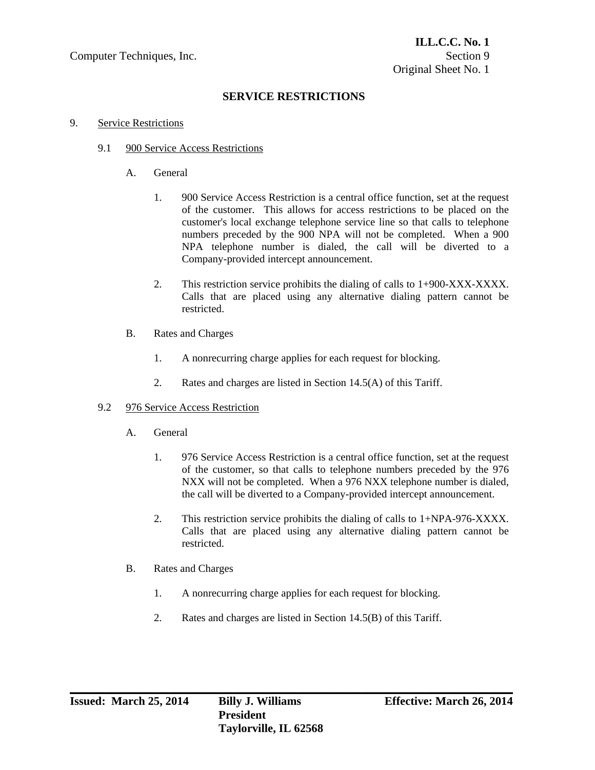# **SERVICE RESTRICTIONS**

#### 9. Service Restrictions

#### 9.1 900 Service Access Restrictions

- A. General
	- 1. 900 Service Access Restriction is a central office function, set at the request of the customer. This allows for access restrictions to be placed on the customer's local exchange telephone service line so that calls to telephone numbers preceded by the 900 NPA will not be completed. When a 900 NPA telephone number is dialed, the call will be diverted to a Company-provided intercept announcement.
	- 2. This restriction service prohibits the dialing of calls to 1+900-XXX-XXXX. Calls that are placed using any alternative dialing pattern cannot be restricted.
- B. Rates and Charges
	- 1. A nonrecurring charge applies for each request for blocking.
	- 2. Rates and charges are listed in Section 14.5(A) of this Tariff.

### 9.2 976 Service Access Restriction

- A. General
	- 1. 976 Service Access Restriction is a central office function, set at the request of the customer, so that calls to telephone numbers preceded by the 976 NXX will not be completed. When a 976 NXX telephone number is dialed, the call will be diverted to a Company-provided intercept announcement.
	- 2. This restriction service prohibits the dialing of calls to 1+NPA-976-XXXX. Calls that are placed using any alternative dialing pattern cannot be restricted.
- B. Rates and Charges
	- 1. A nonrecurring charge applies for each request for blocking.
	- 2. Rates and charges are listed in Section 14.5(B) of this Tariff.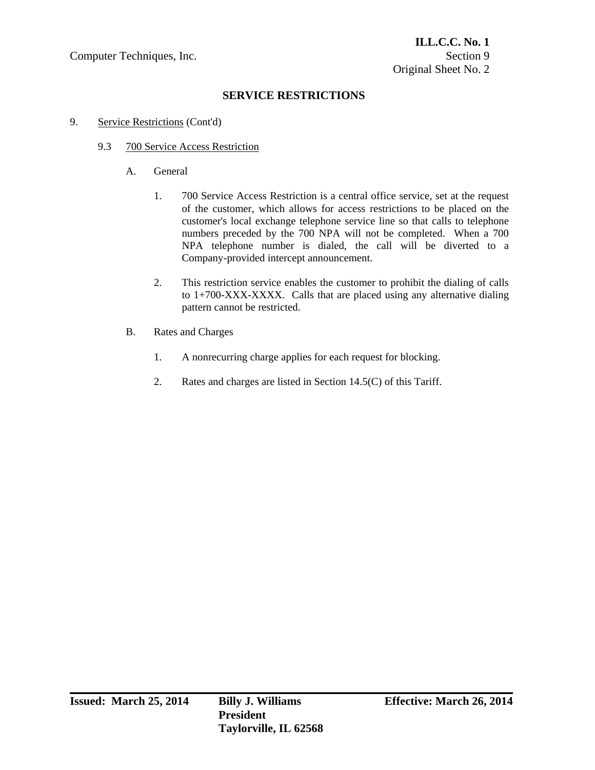# **SERVICE RESTRICTIONS**

- 9. Service Restrictions (Cont'd)
	- 9.3 700 Service Access Restriction
		- A. General
			- 1. 700 Service Access Restriction is a central office service, set at the request of the customer, which allows for access restrictions to be placed on the customer's local exchange telephone service line so that calls to telephone numbers preceded by the 700 NPA will not be completed. When a 700 NPA telephone number is dialed, the call will be diverted to a Company-provided intercept announcement.
			- 2. This restriction service enables the customer to prohibit the dialing of calls to 1+700-XXX-XXXX. Calls that are placed using any alternative dialing pattern cannot be restricted.
		- B. Rates and Charges
			- 1. A nonrecurring charge applies for each request for blocking.
			- 2. Rates and charges are listed in Section 14.5(C) of this Tariff.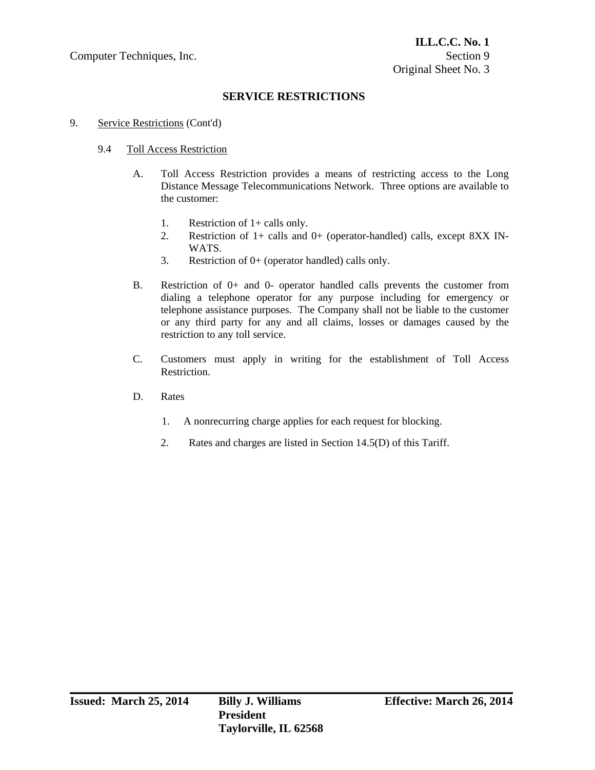# **SERVICE RESTRICTIONS**

### 9. Service Restrictions (Cont'd)

## 9.4 Toll Access Restriction

- A. Toll Access Restriction provides a means of restricting access to the Long Distance Message Telecommunications Network. Three options are available to the customer:
	- 1. Restriction of 1+ calls only.
	- 2. Restriction of 1+ calls and 0+ (operator-handled) calls, except 8XX IN-WATS.
	- 3. Restriction of 0+ (operator handled) calls only.
- B. Restriction of 0+ and 0- operator handled calls prevents the customer from dialing a telephone operator for any purpose including for emergency or telephone assistance purposes. The Company shall not be liable to the customer or any third party for any and all claims, losses or damages caused by the restriction to any toll service.
- C. Customers must apply in writing for the establishment of Toll Access Restriction.
- D. Rates
	- 1. A nonrecurring charge applies for each request for blocking.
	- 2. Rates and charges are listed in Section 14.5(D) of this Tariff.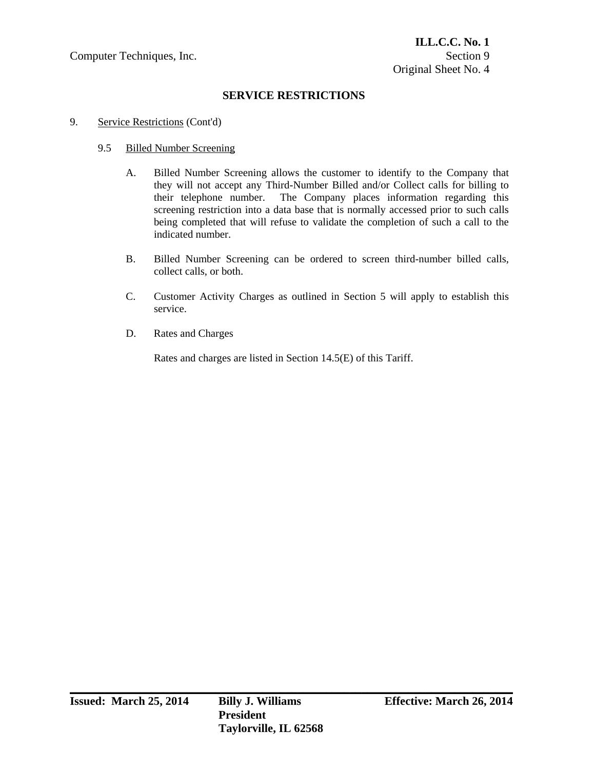Computer Techniques, Inc. Section 9

# **SERVICE RESTRICTIONS**

- 9. Service Restrictions (Cont'd)
	- 9.5 Billed Number Screening
		- A. Billed Number Screening allows the customer to identify to the Company that they will not accept any Third-Number Billed and/or Collect calls for billing to their telephone number. The Company places information regarding this screening restriction into a data base that is normally accessed prior to such calls being completed that will refuse to validate the completion of such a call to the indicated number.
		- B. Billed Number Screening can be ordered to screen third-number billed calls, collect calls, or both.
		- C. Customer Activity Charges as outlined in Section 5 will apply to establish this service.
		- D. Rates and Charges

Rates and charges are listed in Section 14.5(E) of this Tariff.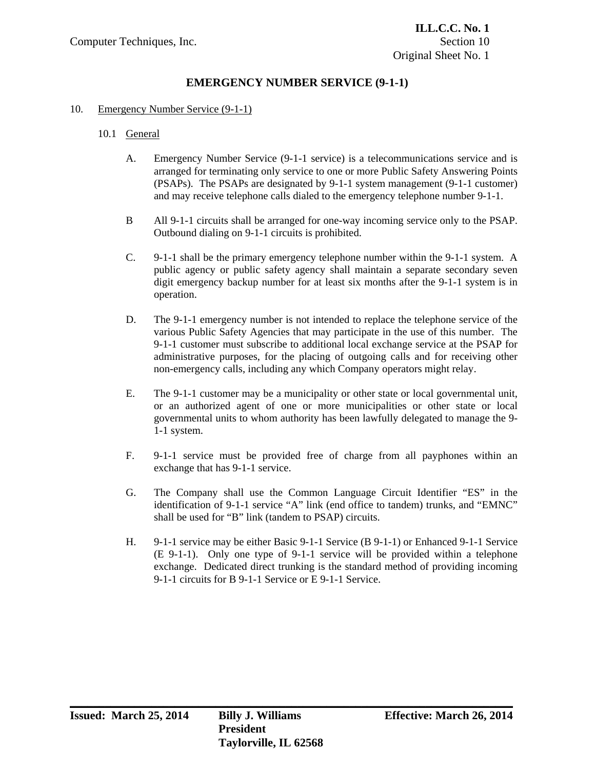#### 10. Emergency Number Service (9-1-1)

- 10.1 General
	- A. Emergency Number Service (9-1-1 service) is a telecommunications service and is arranged for terminating only service to one or more Public Safety Answering Points (PSAPs). The PSAPs are designated by 9-1-1 system management (9-1-1 customer) and may receive telephone calls dialed to the emergency telephone number 9-1-1.
	- B All 9-1-1 circuits shall be arranged for one-way incoming service only to the PSAP. Outbound dialing on 9-1-1 circuits is prohibited.
	- C. 9-1-1 shall be the primary emergency telephone number within the 9-1-1 system. A public agency or public safety agency shall maintain a separate secondary seven digit emergency backup number for at least six months after the 9-1-1 system is in operation.
	- D. The 9-1-1 emergency number is not intended to replace the telephone service of the various Public Safety Agencies that may participate in the use of this number. The 9-1-1 customer must subscribe to additional local exchange service at the PSAP for administrative purposes, for the placing of outgoing calls and for receiving other non-emergency calls, including any which Company operators might relay.
	- E. The 9-1-1 customer may be a municipality or other state or local governmental unit, or an authorized agent of one or more municipalities or other state or local governmental units to whom authority has been lawfully delegated to manage the 9- 1-1 system.
	- F. 9-1-1 service must be provided free of charge from all payphones within an exchange that has 9-1-1 service.
	- G. The Company shall use the Common Language Circuit Identifier "ES" in the identification of 9-1-1 service "A" link (end office to tandem) trunks, and "EMNC" shall be used for "B" link (tandem to PSAP) circuits.
	- H. 9-1-1 service may be either Basic 9-1-1 Service (B 9-1-1) or Enhanced 9-1-1 Service (E 9-1-1). Only one type of 9-1-1 service will be provided within a telephone exchange. Dedicated direct trunking is the standard method of providing incoming 9-1-1 circuits for B 9-1-1 Service or E 9-1-1 Service.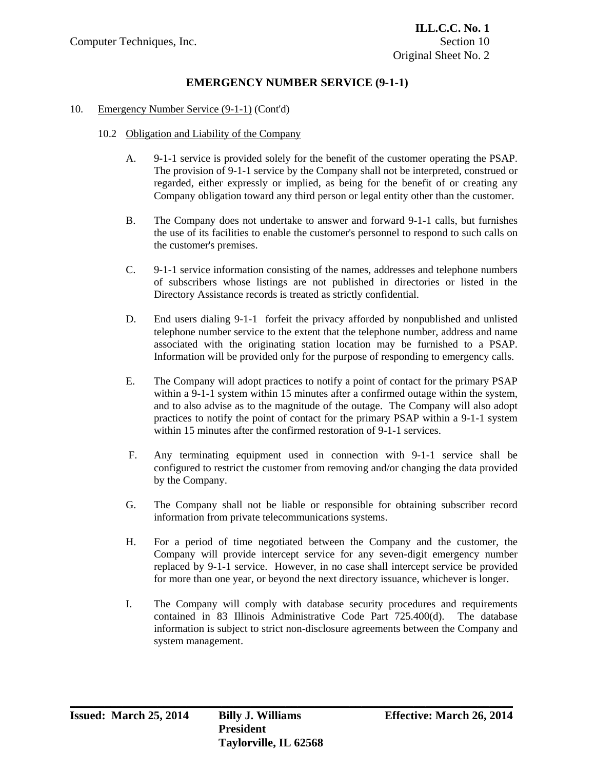#### 10. Emergency Number Service (9-1-1) (Cont'd)

- 10.2 Obligation and Liability of the Company
	- A. 9-1-1 service is provided solely for the benefit of the customer operating the PSAP. The provision of 9-1-1 service by the Company shall not be interpreted, construed or regarded, either expressly or implied, as being for the benefit of or creating any Company obligation toward any third person or legal entity other than the customer.
	- B. The Company does not undertake to answer and forward 9-1-1 calls, but furnishes the use of its facilities to enable the customer's personnel to respond to such calls on the customer's premises.
	- C. 9-1-1 service information consisting of the names, addresses and telephone numbers of subscribers whose listings are not published in directories or listed in the Directory Assistance records is treated as strictly confidential.
	- D. End users dialing 9-1-1 forfeit the privacy afforded by nonpublished and unlisted telephone number service to the extent that the telephone number, address and name associated with the originating station location may be furnished to a PSAP. Information will be provided only for the purpose of responding to emergency calls.
	- E. The Company will adopt practices to notify a point of contact for the primary PSAP within a 9-1-1 system within 15 minutes after a confirmed outage within the system, and to also advise as to the magnitude of the outage. The Company will also adopt practices to notify the point of contact for the primary PSAP within a 9-1-1 system within 15 minutes after the confirmed restoration of 9-1-1 services.
	- F. Any terminating equipment used in connection with 9-1-1 service shall be configured to restrict the customer from removing and/or changing the data provided by the Company.
	- G. The Company shall not be liable or responsible for obtaining subscriber record information from private telecommunications systems.
	- H. For a period of time negotiated between the Company and the customer, the Company will provide intercept service for any seven-digit emergency number replaced by 9-1-1 service. However, in no case shall intercept service be provided for more than one year, or beyond the next directory issuance, whichever is longer.
	- I. The Company will comply with database security procedures and requirements contained in 83 Illinois Administrative Code Part 725.400(d). The database information is subject to strict non-disclosure agreements between the Company and system management.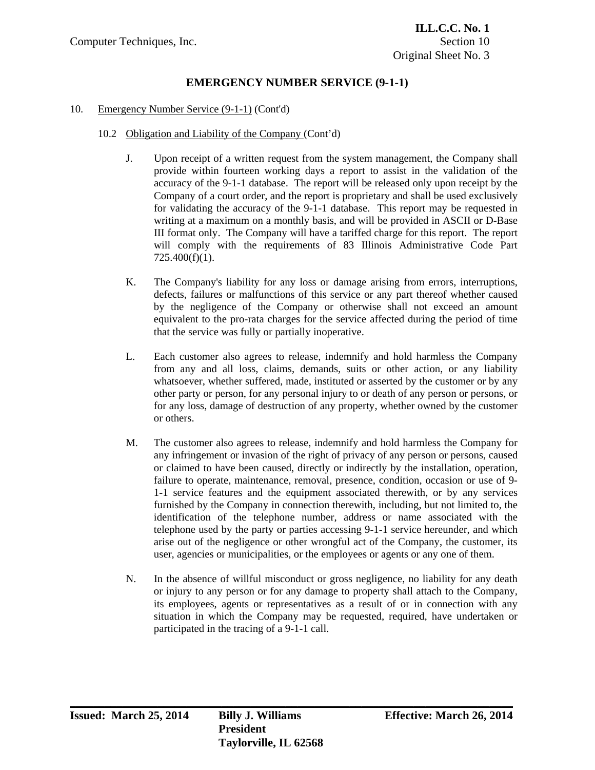#### 10. Emergency Number Service (9-1-1) (Cont'd)

#### 10.2 Obligation and Liability of the Company (Cont'd)

- J. Upon receipt of a written request from the system management, the Company shall provide within fourteen working days a report to assist in the validation of the accuracy of the 9-1-1 database. The report will be released only upon receipt by the Company of a court order, and the report is proprietary and shall be used exclusively for validating the accuracy of the 9-1-1 database. This report may be requested in writing at a maximum on a monthly basis, and will be provided in ASCII or D-Base III format only. The Company will have a tariffed charge for this report. The report will comply with the requirements of 83 Illinois Administrative Code Part 725.400(f)(1).
- K. The Company's liability for any loss or damage arising from errors, interruptions, defects, failures or malfunctions of this service or any part thereof whether caused by the negligence of the Company or otherwise shall not exceed an amount equivalent to the pro-rata charges for the service affected during the period of time that the service was fully or partially inoperative.
- L. Each customer also agrees to release, indemnify and hold harmless the Company from any and all loss, claims, demands, suits or other action, or any liability whatsoever, whether suffered, made, instituted or asserted by the customer or by any other party or person, for any personal injury to or death of any person or persons, or for any loss, damage of destruction of any property, whether owned by the customer or others.
- M. The customer also agrees to release, indemnify and hold harmless the Company for any infringement or invasion of the right of privacy of any person or persons, caused or claimed to have been caused, directly or indirectly by the installation, operation, failure to operate, maintenance, removal, presence, condition, occasion or use of 9- 1-1 service features and the equipment associated therewith, or by any services furnished by the Company in connection therewith, including, but not limited to, the identification of the telephone number, address or name associated with the telephone used by the party or parties accessing 9-1-1 service hereunder, and which arise out of the negligence or other wrongful act of the Company, the customer, its user, agencies or municipalities, or the employees or agents or any one of them.
- N. In the absence of willful misconduct or gross negligence, no liability for any death or injury to any person or for any damage to property shall attach to the Company, its employees, agents or representatives as a result of or in connection with any situation in which the Company may be requested, required, have undertaken or participated in the tracing of a 9-1-1 call.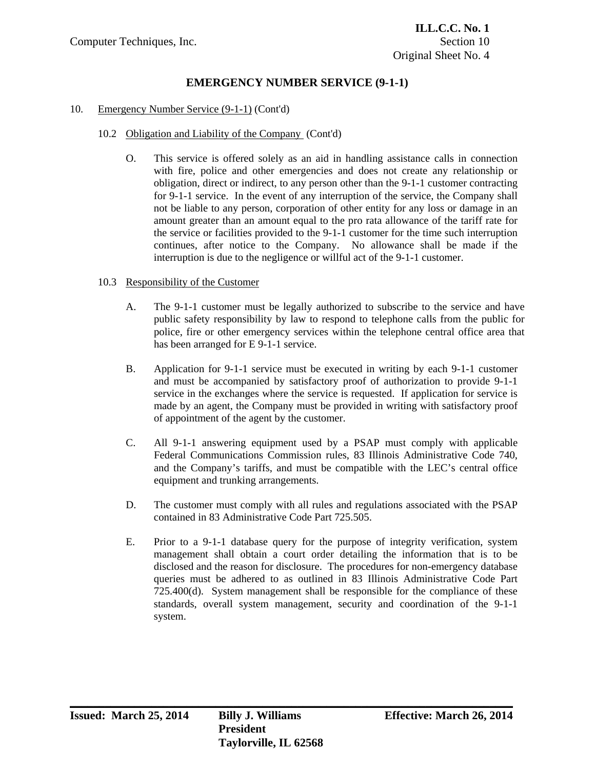#### 10. Emergency Number Service (9-1-1) (Cont'd)

#### 10.2 Obligation and Liability of the Company (Cont'd)

 O. This service is offered solely as an aid in handling assistance calls in connection with fire, police and other emergencies and does not create any relationship or obligation, direct or indirect, to any person other than the 9-1-1 customer contracting for 9-1-1 service. In the event of any interruption of the service, the Company shall not be liable to any person, corporation of other entity for any loss or damage in an amount greater than an amount equal to the pro rata allowance of the tariff rate for the service or facilities provided to the 9-1-1 customer for the time such interruption continues, after notice to the Company. No allowance shall be made if the interruption is due to the negligence or willful act of the 9-1-1 customer.

### 10.3 Responsibility of the Customer

- A. The 9-1-1 customer must be legally authorized to subscribe to the service and have public safety responsibility by law to respond to telephone calls from the public for police, fire or other emergency services within the telephone central office area that has been arranged for E 9-1-1 service.
- B. Application for 9-1-1 service must be executed in writing by each 9-1-1 customer and must be accompanied by satisfactory proof of authorization to provide 9-1-1 service in the exchanges where the service is requested. If application for service is made by an agent, the Company must be provided in writing with satisfactory proof of appointment of the agent by the customer.
- C. All 9-1-1 answering equipment used by a PSAP must comply with applicable Federal Communications Commission rules, 83 Illinois Administrative Code 740, and the Company's tariffs, and must be compatible with the LEC's central office equipment and trunking arrangements.
- D. The customer must comply with all rules and regulations associated with the PSAP contained in 83 Administrative Code Part 725.505.
- E. Prior to a 9-1-1 database query for the purpose of integrity verification, system management shall obtain a court order detailing the information that is to be disclosed and the reason for disclosure. The procedures for non-emergency database queries must be adhered to as outlined in 83 Illinois Administrative Code Part 725.400(d). System management shall be responsible for the compliance of these standards, overall system management, security and coordination of the 9-1-1 system.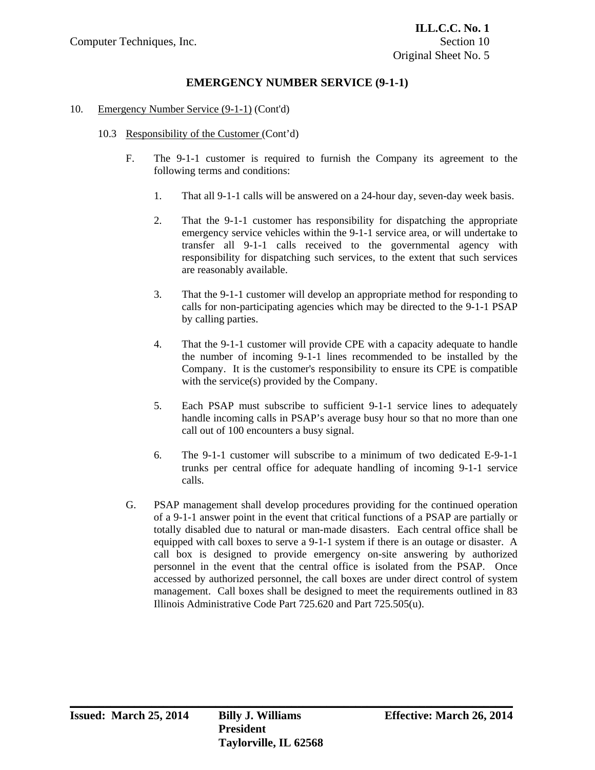### 10. Emergency Number Service (9-1-1) (Cont'd)

- 10.3 Responsibility of the Customer (Cont'd)
	- F. The 9-1-1 customer is required to furnish the Company its agreement to the following terms and conditions:
		- 1. That all 9-1-1 calls will be answered on a 24-hour day, seven-day week basis.
		- 2. That the 9-1-1 customer has responsibility for dispatching the appropriate emergency service vehicles within the 9-1-1 service area, or will undertake to transfer all 9-1-1 calls received to the governmental agency with responsibility for dispatching such services, to the extent that such services are reasonably available.
		- 3. That the 9-1-1 customer will develop an appropriate method for responding to calls for non-participating agencies which may be directed to the 9-1-1 PSAP by calling parties.
		- 4. That the 9-1-1 customer will provide CPE with a capacity adequate to handle the number of incoming 9-1-1 lines recommended to be installed by the Company. It is the customer's responsibility to ensure its CPE is compatible with the service(s) provided by the Company.
		- 5. Each PSAP must subscribe to sufficient 9-1-1 service lines to adequately handle incoming calls in PSAP's average busy hour so that no more than one call out of 100 encounters a busy signal.
		- 6. The 9-1-1 customer will subscribe to a minimum of two dedicated E-9-1-1 trunks per central office for adequate handling of incoming 9-1-1 service calls.
	- G. PSAP management shall develop procedures providing for the continued operation of a 9-1-1 answer point in the event that critical functions of a PSAP are partially or totally disabled due to natural or man-made disasters. Each central office shall be equipped with call boxes to serve a 9-1-1 system if there is an outage or disaster. A call box is designed to provide emergency on-site answering by authorized personnel in the event that the central office is isolated from the PSAP. Once accessed by authorized personnel, the call boxes are under direct control of system management. Call boxes shall be designed to meet the requirements outlined in 83 Illinois Administrative Code Part 725.620 and Part 725.505(u).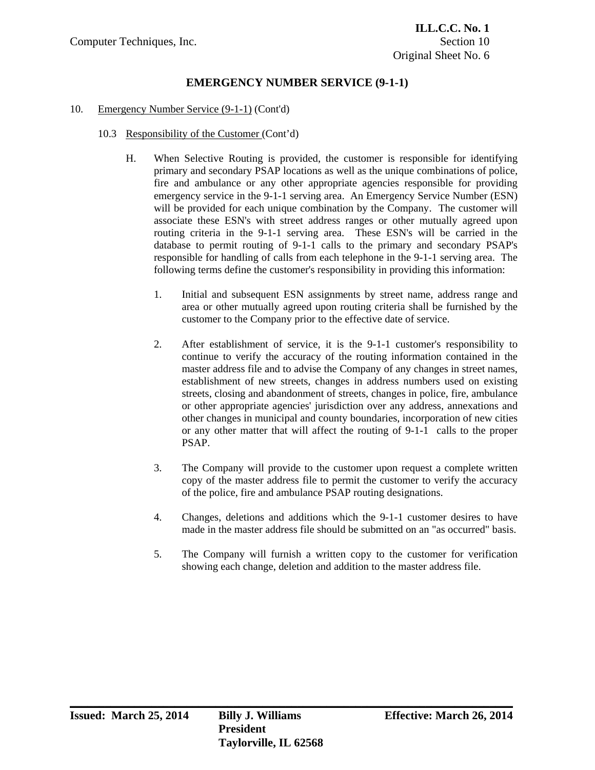#### 10. Emergency Number Service (9-1-1) (Cont'd)

- 10.3 Responsibility of the Customer (Cont'd)
	- H. When Selective Routing is provided, the customer is responsible for identifying primary and secondary PSAP locations as well as the unique combinations of police, fire and ambulance or any other appropriate agencies responsible for providing emergency service in the 9-1-1 serving area. An Emergency Service Number (ESN) will be provided for each unique combination by the Company. The customer will associate these ESN's with street address ranges or other mutually agreed upon routing criteria in the 9-1-1 serving area. These ESN's will be carried in the database to permit routing of 9-1-1 calls to the primary and secondary PSAP's responsible for handling of calls from each telephone in the 9-1-1 serving area. The following terms define the customer's responsibility in providing this information:
		- 1. Initial and subsequent ESN assignments by street name, address range and area or other mutually agreed upon routing criteria shall be furnished by the customer to the Company prior to the effective date of service.
		- 2. After establishment of service, it is the 9-1-1 customer's responsibility to continue to verify the accuracy of the routing information contained in the master address file and to advise the Company of any changes in street names, establishment of new streets, changes in address numbers used on existing streets, closing and abandonment of streets, changes in police, fire, ambulance or other appropriate agencies' jurisdiction over any address, annexations and other changes in municipal and county boundaries, incorporation of new cities or any other matter that will affect the routing of 9-1-1 calls to the proper PSAP.
		- 3. The Company will provide to the customer upon request a complete written copy of the master address file to permit the customer to verify the accuracy of the police, fire and ambulance PSAP routing designations.
		- 4. Changes, deletions and additions which the 9-1-1 customer desires to have made in the master address file should be submitted on an "as occurred" basis.
		- 5. The Company will furnish a written copy to the customer for verification showing each change, deletion and addition to the master address file.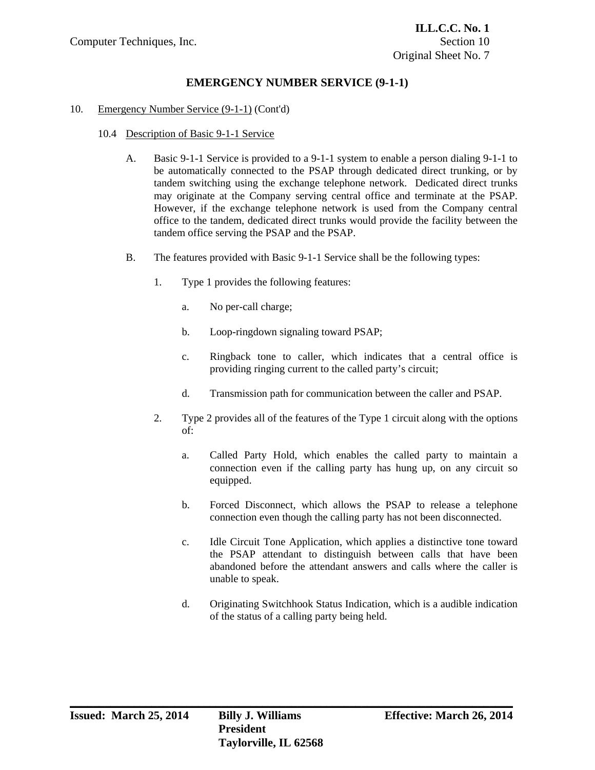#### 10. Emergency Number Service (9-1-1) (Cont'd)

- 10.4 Description of Basic 9-1-1 Service
	- A. Basic 9-1-1 Service is provided to a 9-1-1 system to enable a person dialing 9-1-1 to be automatically connected to the PSAP through dedicated direct trunking, or by tandem switching using the exchange telephone network. Dedicated direct trunks may originate at the Company serving central office and terminate at the PSAP. However, if the exchange telephone network is used from the Company central office to the tandem, dedicated direct trunks would provide the facility between the tandem office serving the PSAP and the PSAP.
	- B. The features provided with Basic 9-1-1 Service shall be the following types:
		- 1. Type 1 provides the following features:
			- a. No per-call charge;
			- b. Loop-ringdown signaling toward PSAP;
			- c. Ringback tone to caller, which indicates that a central office is providing ringing current to the called party's circuit;
			- d. Transmission path for communication between the caller and PSAP.
		- 2. Type 2 provides all of the features of the Type 1 circuit along with the options of:
			- a. Called Party Hold, which enables the called party to maintain a connection even if the calling party has hung up, on any circuit so equipped.
			- b. Forced Disconnect, which allows the PSAP to release a telephone connection even though the calling party has not been disconnected.
			- c. Idle Circuit Tone Application, which applies a distinctive tone toward the PSAP attendant to distinguish between calls that have been abandoned before the attendant answers and calls where the caller is unable to speak.
			- d. Originating Switchhook Status Indication, which is a audible indication of the status of a calling party being held.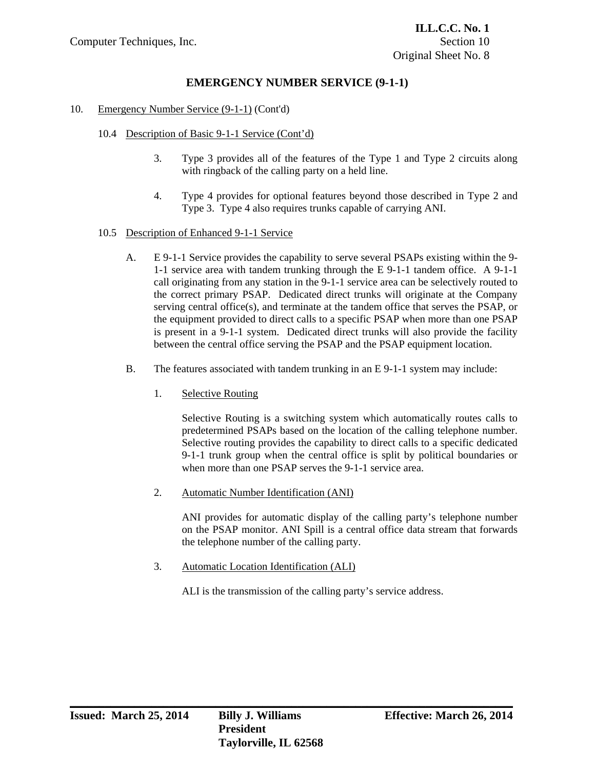### 10. Emergency Number Service (9-1-1) (Cont'd)

- 10.4 Description of Basic 9-1-1 Service (Cont'd)
	- 3. Type 3 provides all of the features of the Type 1 and Type 2 circuits along with ringback of the calling party on a held line.
	- 4. Type 4 provides for optional features beyond those described in Type 2 and Type 3. Type 4 also requires trunks capable of carrying ANI.
- 10.5 Description of Enhanced 9-1-1 Service
	- A. E 9-1-1 Service provides the capability to serve several PSAPs existing within the 9- 1-1 service area with tandem trunking through the E 9-1-1 tandem office. A 9-1-1 call originating from any station in the 9-1-1 service area can be selectively routed to the correct primary PSAP. Dedicated direct trunks will originate at the Company serving central office(s), and terminate at the tandem office that serves the PSAP, or the equipment provided to direct calls to a specific PSAP when more than one PSAP is present in a 9-1-1 system. Dedicated direct trunks will also provide the facility between the central office serving the PSAP and the PSAP equipment location.
	- B. The features associated with tandem trunking in an E 9-1-1 system may include:
		- 1. Selective Routing

 Selective Routing is a switching system which automatically routes calls to predetermined PSAPs based on the location of the calling telephone number. Selective routing provides the capability to direct calls to a specific dedicated 9-1-1 trunk group when the central office is split by political boundaries or when more than one PSAP serves the 9-1-1 service area.

2. Automatic Number Identification (ANI)

 ANI provides for automatic display of the calling party's telephone number on the PSAP monitor. ANI Spill is a central office data stream that forwards the telephone number of the calling party.

3. Automatic Location Identification (ALI)

ALI is the transmission of the calling party's service address.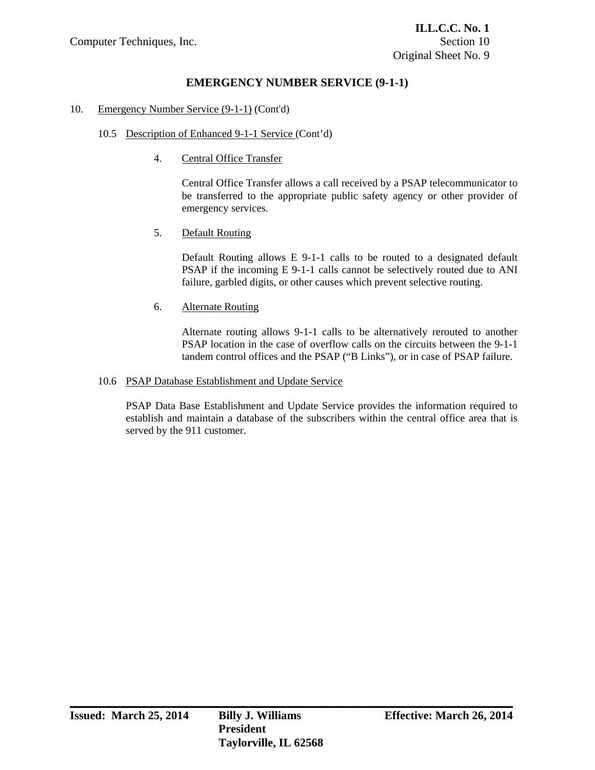### 10. Emergency Number Service (9-1-1) (Cont'd)

## 10.5 Description of Enhanced 9-1-1 Service (Cont'd)

4. Central Office Transfer

 Central Office Transfer allows a call received by a PSAP telecommunicator to be transferred to the appropriate public safety agency or other provider of emergency services.

## 5. Default Routing

 Default Routing allows E 9-1-1 calls to be routed to a designated default PSAP if the incoming E 9-1-1 calls cannot be selectively routed due to ANI failure, garbled digits, or other causes which prevent selective routing.

## 6. Alternate Routing

 Alternate routing allows 9-1-1 calls to be alternatively rerouted to another PSAP location in the case of overflow calls on the circuits between the 9-1-1 tandem control offices and the PSAP ("B Links"), or in case of PSAP failure.

### 10.6 PSAP Database Establishment and Update Service

 PSAP Data Base Establishment and Update Service provides the information required to establish and maintain a database of the subscribers within the central office area that is served by the 911 customer.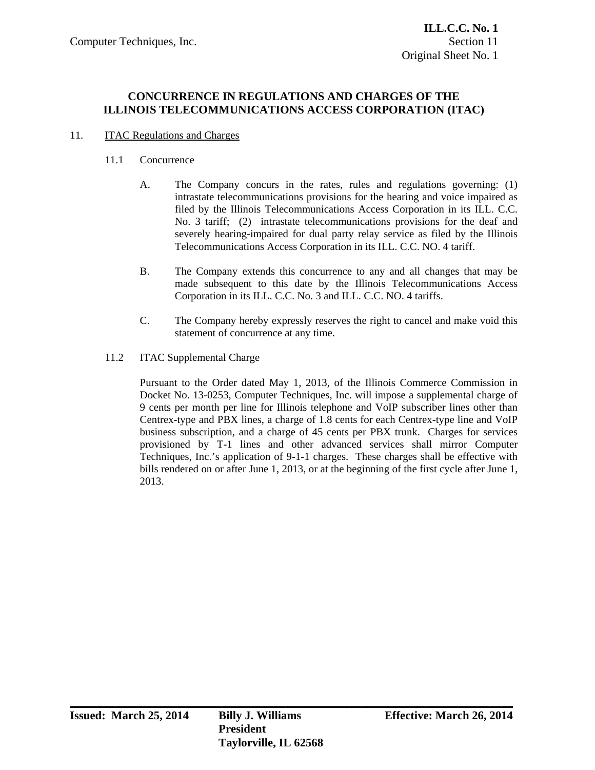## **CONCURRENCE IN REGULATIONS AND CHARGES OF THE ILLINOIS TELECOMMUNICATIONS ACCESS CORPORATION (ITAC)**

## 11. ITAC Regulations and Charges

## 11.1 Concurrence

- A. The Company concurs in the rates, rules and regulations governing: (1) intrastate telecommunications provisions for the hearing and voice impaired as filed by the Illinois Telecommunications Access Corporation in its ILL. C.C. No. 3 tariff; (2) intrastate telecommunications provisions for the deaf and severely hearing-impaired for dual party relay service as filed by the Illinois Telecommunications Access Corporation in its ILL. C.C. NO. 4 tariff.
- B. The Company extends this concurrence to any and all changes that may be made subsequent to this date by the Illinois Telecommunications Access Corporation in its ILL. C.C. No. 3 and ILL. C.C. NO. 4 tariffs.
- C. The Company hereby expressly reserves the right to cancel and make void this statement of concurrence at any time.
- 11.2 ITAC Supplemental Charge

 Pursuant to the Order dated May 1, 2013, of the Illinois Commerce Commission in Docket No. 13-0253, Computer Techniques, Inc. will impose a supplemental charge of 9 cents per month per line for Illinois telephone and VoIP subscriber lines other than Centrex-type and PBX lines, a charge of 1.8 cents for each Centrex-type line and VoIP business subscription, and a charge of 45 cents per PBX trunk. Charges for services provisioned by T-1 lines and other advanced services shall mirror Computer Techniques, Inc.'s application of 9-1-1 charges. These charges shall be effective with bills rendered on or after June 1, 2013, or at the beginning of the first cycle after June 1, 2013.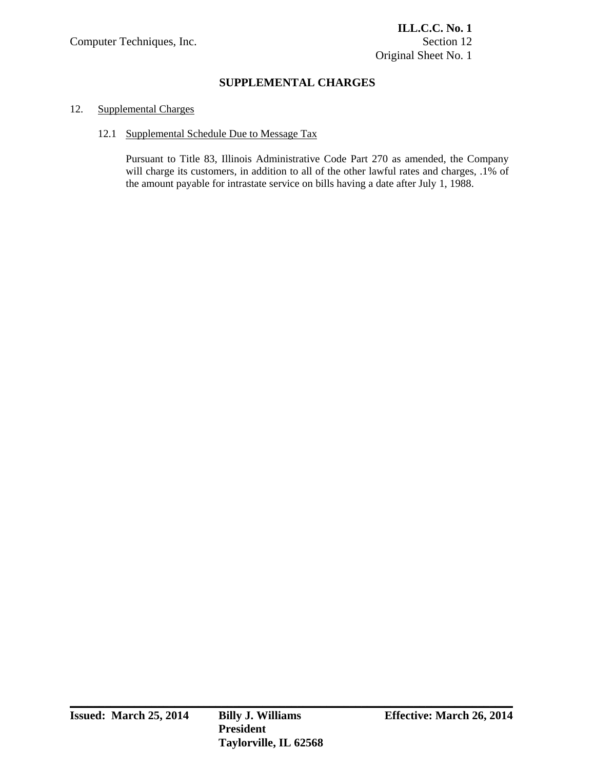# **SUPPLEMENTAL CHARGES**

## 12. Supplemental Charges

### 12.1 Supplemental Schedule Due to Message Tax

 Pursuant to Title 83, Illinois Administrative Code Part 270 as amended, the Company will charge its customers, in addition to all of the other lawful rates and charges, .1% of the amount payable for intrastate service on bills having a date after July 1, 1988.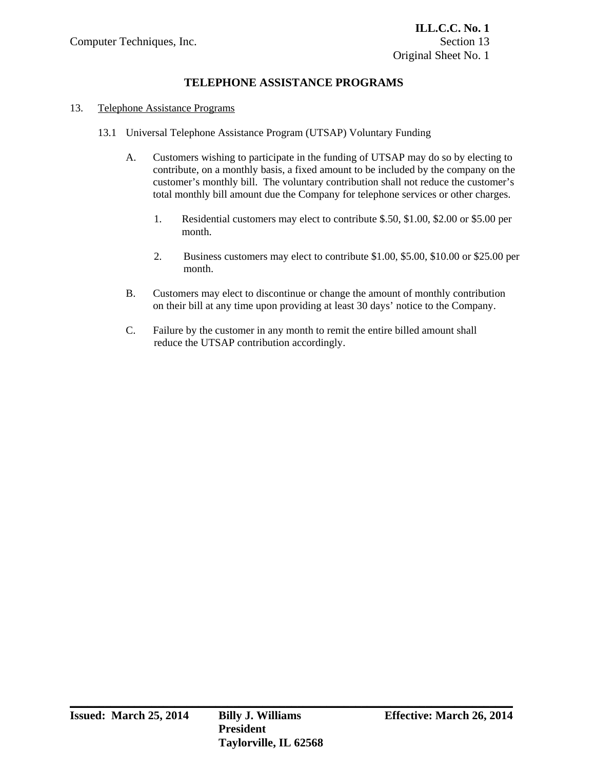# **TELEPHONE ASSISTANCE PROGRAMS**

#### 13. Telephone Assistance Programs

- 13.1 Universal Telephone Assistance Program (UTSAP) Voluntary Funding
	- A. Customers wishing to participate in the funding of UTSAP may do so by electing to contribute, on a monthly basis, a fixed amount to be included by the company on the customer's monthly bill. The voluntary contribution shall not reduce the customer's total monthly bill amount due the Company for telephone services or other charges.
		- 1. Residential customers may elect to contribute \$.50, \$1.00, \$2.00 or \$5.00 per month.
		- 2. Business customers may elect to contribute \$1.00, \$5.00, \$10.00 or \$25.00 per month.
	- B. Customers may elect to discontinue or change the amount of monthly contribution on their bill at any time upon providing at least 30 days' notice to the Company.
	- C. Failure by the customer in any month to remit the entire billed amount shall reduce the UTSAP contribution accordingly.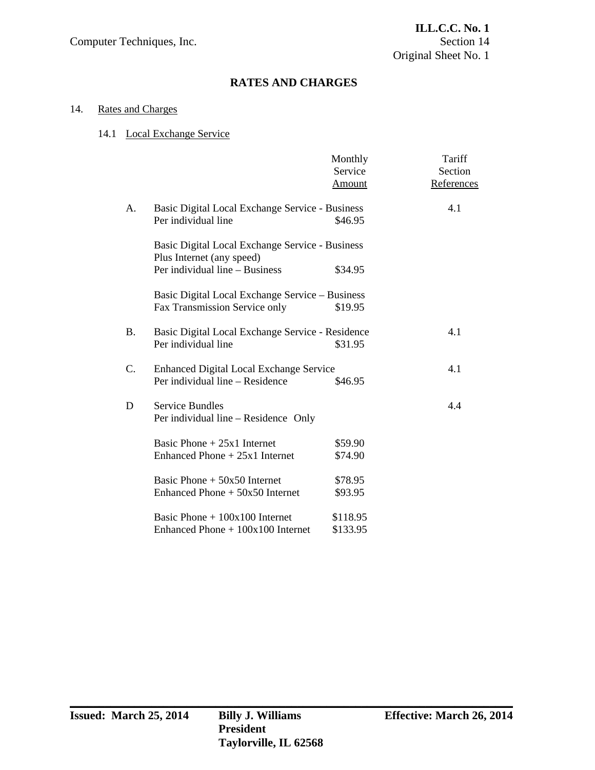# **RATES AND CHARGES**

## 14. Rates and Charges

## 14.1 Local Exchange Service

|             |                                                                              | Monthly<br>Service<br>Amount                    | Tariff<br>Section<br>References |  |
|-------------|------------------------------------------------------------------------------|-------------------------------------------------|---------------------------------|--|
| A.          | Basic Digital Local Exchange Service - Business                              |                                                 | 4.1                             |  |
|             | Per individual line                                                          | \$46.95                                         |                                 |  |
|             | Basic Digital Local Exchange Service - Business<br>Plus Internet (any speed) |                                                 |                                 |  |
|             | Per individual line - Business                                               | \$34.95                                         |                                 |  |
|             |                                                                              | Basic Digital Local Exchange Service – Business |                                 |  |
|             | Fax Transmission Service only                                                | \$19.95                                         |                                 |  |
|             |                                                                              |                                                 |                                 |  |
| <b>B.</b>   | Basic Digital Local Exchange Service - Residence                             |                                                 | 4.1                             |  |
|             | Per individual line                                                          | \$31.95                                         |                                 |  |
| $C_{\cdot}$ | <b>Enhanced Digital Local Exchange Service</b>                               |                                                 | 4.1                             |  |
|             | Per individual line - Residence                                              | \$46.95                                         |                                 |  |
|             |                                                                              |                                                 |                                 |  |
| D           | <b>Service Bundles</b><br>Per individual line – Residence Only               |                                                 | 4.4                             |  |
|             |                                                                              |                                                 |                                 |  |
|             | Basic Phone $+25x1$ Internet                                                 | \$59.90                                         |                                 |  |
|             | Enhanced Phone $+25x1$ Internet                                              | \$74.90                                         |                                 |  |
|             | Basic Phone $+50x50$ Internet                                                | \$78.95                                         |                                 |  |
|             | Enhanced Phone $+50x50$ Internet                                             | \$93.95                                         |                                 |  |
|             |                                                                              |                                                 |                                 |  |
|             | Basic Phone $+100x100$ Internet                                              | \$118.95                                        |                                 |  |
|             | Enhanced Phone $+100x100$ Internet                                           | \$133.95                                        |                                 |  |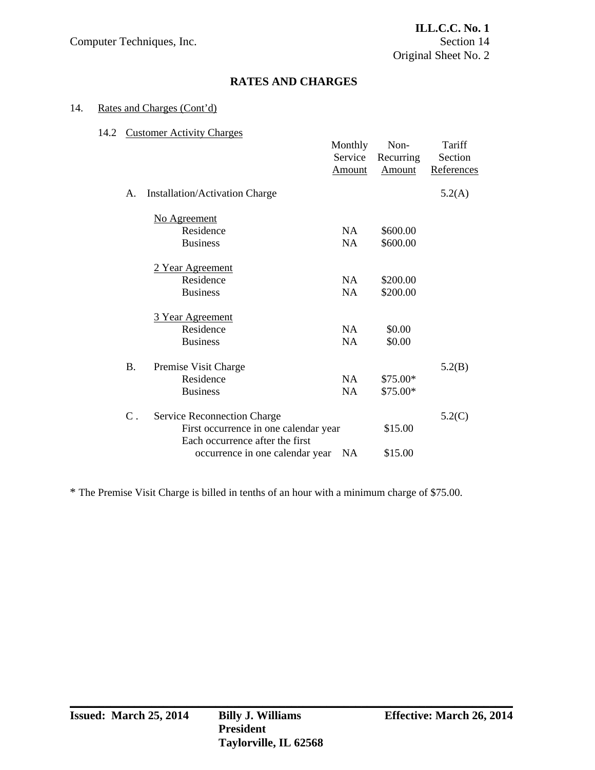## **RATES AND CHARGES**

## 14. Rates and Charges (Cont'd)

## 14.2 Customer Activity Charges

|  |             |                                       | Monthly<br>Service<br><b>Amount</b> | Non-<br>Recurring<br>Amount | Tariff<br>Section<br>References |
|--|-------------|---------------------------------------|-------------------------------------|-----------------------------|---------------------------------|
|  | А.          | Installation/Activation Charge        |                                     |                             | 5.2(A)                          |
|  |             | No Agreement                          |                                     |                             |                                 |
|  |             | Residence                             | <b>NA</b>                           | \$600.00                    |                                 |
|  |             | <b>Business</b>                       | <b>NA</b>                           | \$600.00                    |                                 |
|  |             | 2 Year Agreement                      |                                     |                             |                                 |
|  |             | Residence                             | NA.                                 | \$200.00                    |                                 |
|  |             | <b>Business</b>                       | <b>NA</b>                           | \$200.00                    |                                 |
|  |             | 3 Year Agreement                      |                                     |                             |                                 |
|  |             | Residence                             | NA                                  | \$0.00                      |                                 |
|  |             | <b>Business</b>                       | NA                                  | \$0.00                      |                                 |
|  | <b>B.</b>   | Premise Visit Charge                  |                                     |                             | 5.2(B)                          |
|  |             | Residence                             | NA                                  | $$75.00*$                   |                                 |
|  |             | <b>Business</b>                       | <b>NA</b>                           | $$75.00*$                   |                                 |
|  | $C_{\cdot}$ | <b>Service Reconnection Charge</b>    |                                     |                             | 5.2(C)                          |
|  |             | First occurrence in one calendar year |                                     | \$15.00                     |                                 |
|  |             | Each occurrence after the first       |                                     |                             |                                 |
|  |             | occurrence in one calendar year       | <b>NA</b>                           | \$15.00                     |                                 |

\* The Premise Visit Charge is billed in tenths of an hour with a minimum charge of \$75.00.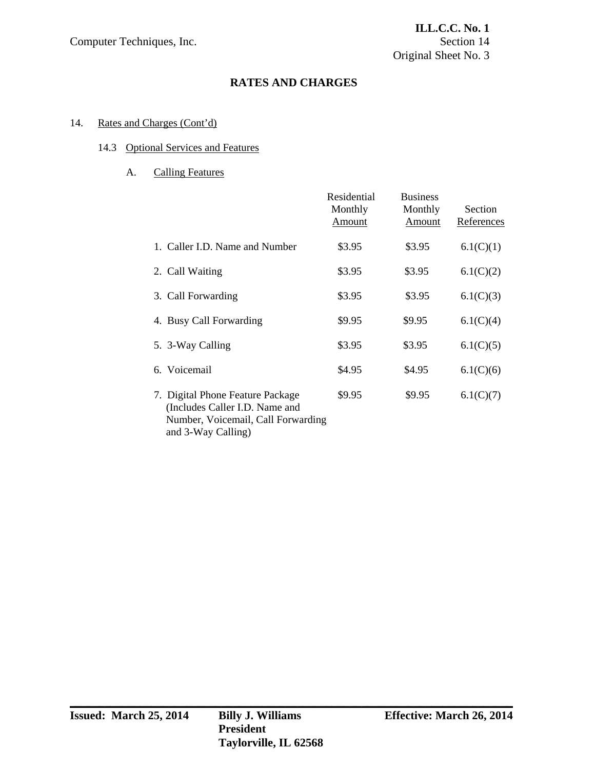## **RATES AND CHARGES**

## 14. Rates and Charges (Cont'd)

## 14.3 Optional Services and Features

# A. Calling Features

|                                                                                                                                | Residential<br>Monthly<br>Amount | <b>Business</b><br>Monthly<br>Amount | Section<br>References |
|--------------------------------------------------------------------------------------------------------------------------------|----------------------------------|--------------------------------------|-----------------------|
| 1. Caller I.D. Name and Number                                                                                                 | \$3.95                           | \$3.95                               | 6.1(C)(1)             |
| 2. Call Waiting                                                                                                                | \$3.95                           | \$3.95                               | 6.1(C)(2)             |
| 3. Call Forwarding                                                                                                             | \$3.95                           | \$3.95                               | 6.1(C)(3)             |
| 4. Busy Call Forwarding                                                                                                        | \$9.95                           | \$9.95                               | 6.1(C)(4)             |
| 5. 3-Way Calling                                                                                                               | \$3.95                           | \$3.95                               | 6.1(C)(5)             |
| Voicemail<br>6.                                                                                                                | \$4.95                           | \$4.95                               | 6.1(C)(6)             |
| 7. Digital Phone Feature Package<br>(Includes Caller I.D. Name and<br>Number, Voicemail, Call Forwarding<br>and 3-Way Calling) | \$9.95                           | \$9.95                               | 6.1(C)(7)             |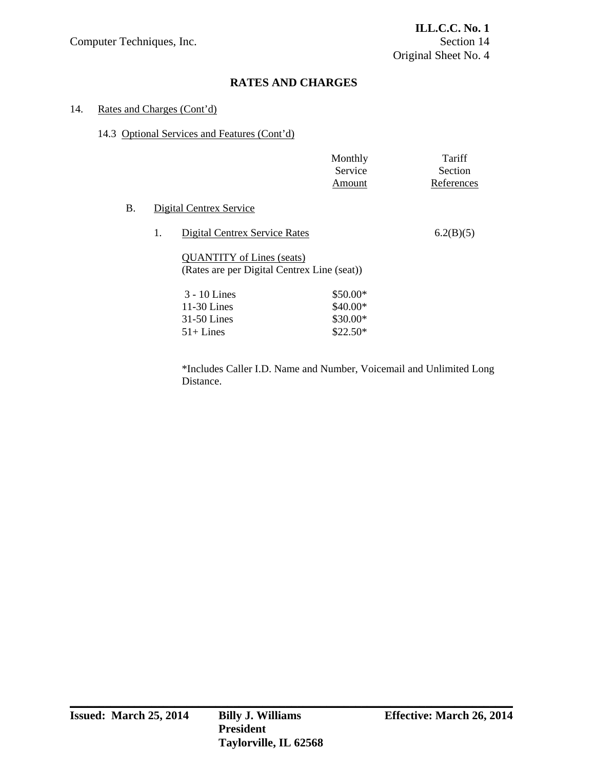# **RATES AND CHARGES**

#### 14. Rates and Charges (Cont'd)

### 14.3 Optional Services and Features (Cont'd)

|           |    |                                                                                 | Monthly<br>Service<br>Amount | Tariff<br>Section<br>References |
|-----------|----|---------------------------------------------------------------------------------|------------------------------|---------------------------------|
| <b>B.</b> |    | Digital Centrex Service                                                         |                              |                                 |
|           | 1. | Digital Centrex Service Rates                                                   |                              | 6.2(B)(5)                       |
|           |    | <b>QUANTITY</b> of Lines (seats)<br>(Rates are per Digital Centrex Line (seat)) |                              |                                 |
|           |    | $3 - 10$ Lines                                                                  | \$50.00*                     |                                 |
|           |    | $11-30$ Lines                                                                   | $$40.00*$                    |                                 |
|           |    | $31-50$ Lines                                                                   | $$30.00*$                    |                                 |
|           |    | $51 + Lines$                                                                    | $$22.50*$                    |                                 |
|           |    |                                                                                 |                              |                                 |

 \*Includes Caller I.D. Name and Number, Voicemail and Unlimited Long Distance.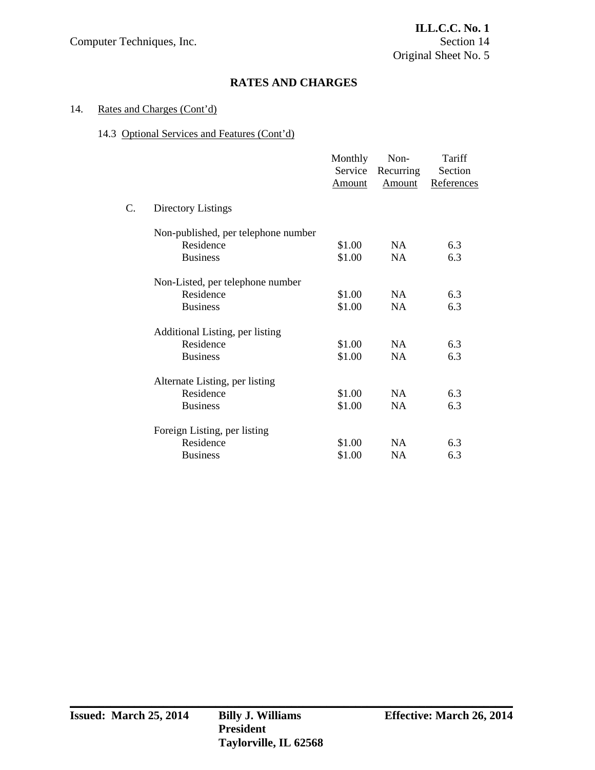## **RATES AND CHARGES**

### 14. Rates and Charges (Cont'd)

### 14.3 Optional Services and Features (Cont'd)

|             |                                     | Monthly<br>Service<br><u>Amount</u> | Non-<br>Recurring<br>Amount | Tariff<br>Section<br>References |
|-------------|-------------------------------------|-------------------------------------|-----------------------------|---------------------------------|
| $C_{\cdot}$ | Directory Listings                  |                                     |                             |                                 |
|             | Non-published, per telephone number |                                     |                             |                                 |
|             | Residence                           | \$1.00                              | NA                          | 6.3                             |
|             | <b>Business</b>                     | \$1.00                              | <b>NA</b>                   | 6.3                             |
|             | Non-Listed, per telephone number    |                                     |                             |                                 |
|             | Residence                           | \$1.00                              | NA                          | 6.3                             |
|             | <b>Business</b>                     | \$1.00                              | <b>NA</b>                   | 6.3                             |
|             | Additional Listing, per listing     |                                     |                             |                                 |
|             | Residence                           | \$1.00                              | NA                          | 6.3                             |
|             | <b>Business</b>                     | \$1.00                              | <b>NA</b>                   | 6.3                             |
|             | Alternate Listing, per listing      |                                     |                             |                                 |
|             | Residence                           | \$1.00                              | NA                          | 6.3                             |
|             | <b>Business</b>                     | \$1.00                              | <b>NA</b>                   | 6.3                             |
|             | Foreign Listing, per listing        |                                     |                             |                                 |
|             | Residence                           | \$1.00                              | NA                          | 6.3                             |
|             | <b>Business</b>                     | \$1.00                              | NA.                         | 6.3                             |
|             |                                     |                                     |                             |                                 |

**\_\_\_\_\_\_\_\_\_\_\_\_\_\_\_\_\_\_\_\_\_\_\_\_\_\_\_\_\_\_\_\_\_\_\_\_\_\_\_\_\_\_\_\_\_\_\_\_\_\_\_\_\_\_\_\_\_\_\_\_\_\_\_\_\_\_\_\_\_\_\_\_\_\_\_\_**